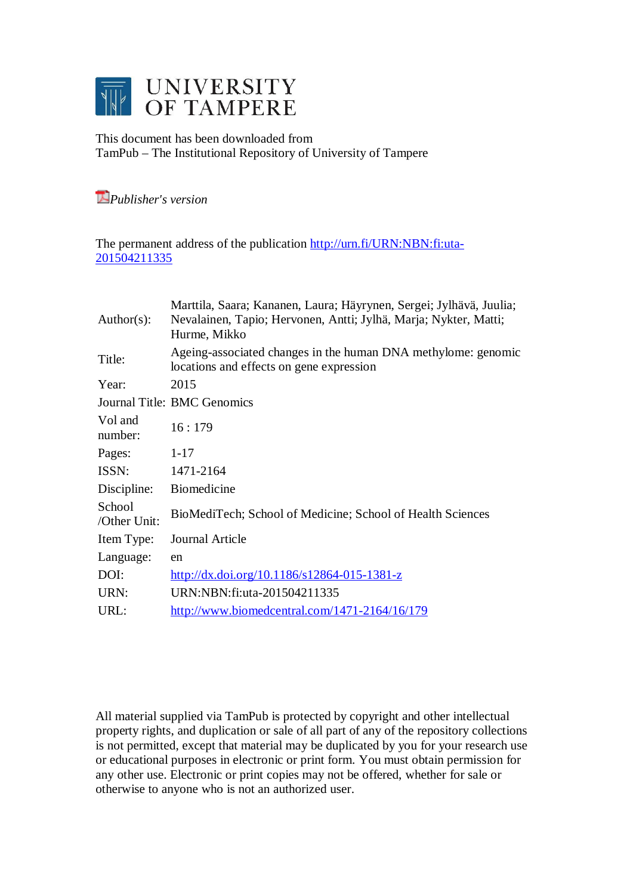

This document has been downloaded from TamPub – The Institutional Repository of University of Tampere

*Publisher's version* 

The permanent address of the publication [http://urn.fi/URN:NBN:fi:uta-](http://urn.fi/URN:NBN:fi:uta-201504211335)[201504211335](http://urn.fi/URN:NBN:fi:uta-201504211335)

| Author(s):             | Marttila, Saara; Kananen, Laura; Häyrynen, Sergei; Jylhävä, Juulia;<br>Nevalainen, Tapio; Hervonen, Antti; Jylhä, Marja; Nykter, Matti;<br>Hurme, Mikko |
|------------------------|---------------------------------------------------------------------------------------------------------------------------------------------------------|
| Title:                 | Ageing-associated changes in the human DNA methylome: genomic<br>locations and effects on gene expression                                               |
| Year:                  | 2015                                                                                                                                                    |
|                        | Journal Title: BMC Genomics                                                                                                                             |
| Vol and<br>number:     | 16:179                                                                                                                                                  |
| Pages:                 | $1 - 17$                                                                                                                                                |
| ISSN:                  | 1471-2164                                                                                                                                               |
| Discipline:            | <b>Biomedicine</b>                                                                                                                                      |
| School<br>/Other Unit: | BioMediTech; School of Medicine; School of Health Sciences                                                                                              |
| Item Type:             | Journal Article                                                                                                                                         |
| Language:              | en                                                                                                                                                      |
| DOI:                   | http://dx.doi.org/10.1186/s12864-015-1381-z                                                                                                             |
| URN:                   | URN:NBN:fi:uta-201504211335                                                                                                                             |
| URL:                   | http://www.biomedcentral.com/1471-2164/16/179                                                                                                           |

All material supplied via TamPub is protected by copyright and other intellectual property rights, and duplication or sale of all part of any of the repository collections is not permitted, except that material may be duplicated by you for your research use or educational purposes in electronic or print form. You must obtain permission for any other use. Electronic or print copies may not be offered, whether for sale or otherwise to anyone who is not an authorized user.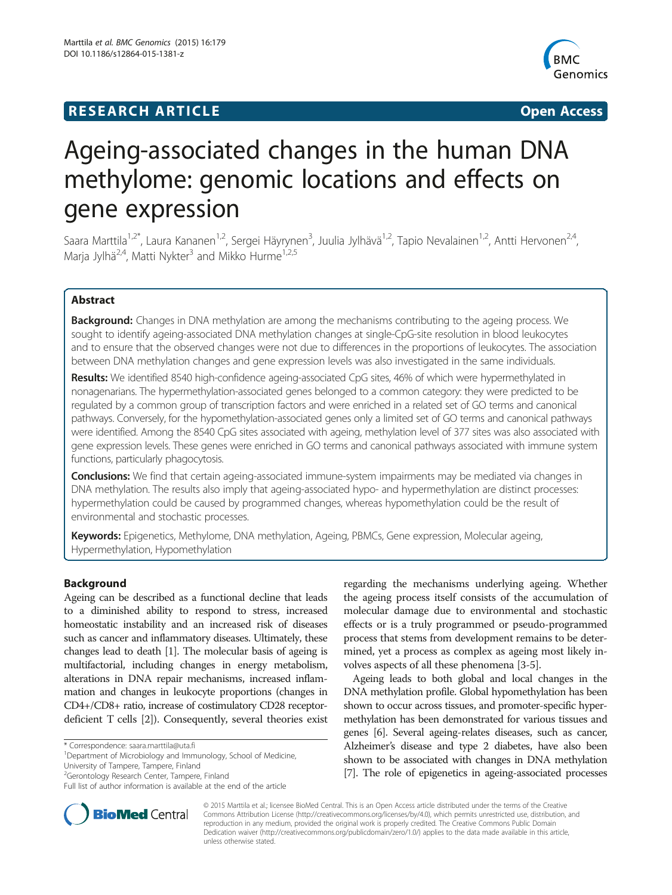## **RESEARCH ARTICLE Example 2014 CONSUMING A RESEARCH ARTICLE**



# Ageing-associated changes in the human DNA methylome: genomic locations and effects on gene expression

Saara Marttila<sup>1,2\*</sup>, Laura Kananen<sup>1,2</sup>, Sergei Häyrynen<sup>3</sup>, Juulia Jylhävä<sup>1,2</sup>, Tapio Nevalainen<sup>1,2</sup>, Antti Hervonen<sup>2,4</sup>, Marja Jylhä<sup>2,4</sup>, Matti Nykter<sup>3</sup> and Mikko Hurme<sup>1,2,5</sup>

## Abstract

Background: Changes in DNA methylation are among the mechanisms contributing to the ageing process. We sought to identify ageing-associated DNA methylation changes at single-CpG-site resolution in blood leukocytes and to ensure that the observed changes were not due to differences in the proportions of leukocytes. The association between DNA methylation changes and gene expression levels was also investigated in the same individuals.

Results: We identified 8540 high-confidence ageing-associated CpG sites, 46% of which were hypermethylated in nonagenarians. The hypermethylation-associated genes belonged to a common category: they were predicted to be regulated by a common group of transcription factors and were enriched in a related set of GO terms and canonical pathways. Conversely, for the hypomethylation-associated genes only a limited set of GO terms and canonical pathways were identified. Among the 8540 CpG sites associated with ageing, methylation level of 377 sites was also associated with gene expression levels. These genes were enriched in GO terms and canonical pathways associated with immune system functions, particularly phagocytosis.

Conclusions: We find that certain ageing-associated immune-system impairments may be mediated via changes in DNA methylation. The results also imply that ageing-associated hypo- and hypermethylation are distinct processes: hypermethylation could be caused by programmed changes, whereas hypomethylation could be the result of environmental and stochastic processes.

Keywords: Epigenetics, Methylome, DNA methylation, Ageing, PBMCs, Gene expression, Molecular ageing, Hypermethylation, Hypomethylation

#### Background

Ageing can be described as a functional decline that leads to a diminished ability to respond to stress, increased homeostatic instability and an increased risk of diseases such as cancer and inflammatory diseases. Ultimately, these changes lead to death [\[1\]](#page-15-0). The molecular basis of ageing is multifactorial, including changes in energy metabolism, alterations in DNA repair mechanisms, increased inflammation and changes in leukocyte proportions (changes in CD4+/CD8+ ratio, increase of costimulatory CD28 receptordeficient T cells [\[2](#page-16-0)]). Consequently, several theories exist

University of Tampere, Tampere, Finland

regarding the mechanisms underlying ageing. Whether the ageing process itself consists of the accumulation of molecular damage due to environmental and stochastic effects or is a truly programmed or pseudo-programmed process that stems from development remains to be determined, yet a process as complex as ageing most likely involves aspects of all these phenomena [\[3](#page-16-0)-[5\]](#page-16-0).

Ageing leads to both global and local changes in the DNA methylation profile. Global hypomethylation has been shown to occur across tissues, and promoter-specific hypermethylation has been demonstrated for various tissues and genes [\[6\]](#page-16-0). Several ageing-relates diseases, such as cancer, Alzheimer's disease and type 2 diabetes, have also been shown to be associated with changes in DNA methylation [[7](#page-16-0)]. The role of epigenetics in ageing-associated processes



© 2015 Marttila et al.; licensee BioMed Central. This is an Open Access article distributed under the terms of the Creative Commons Attribution License [\(http://creativecommons.org/licenses/by/4.0\)](http://creativecommons.org/licenses/by/4.0), which permits unrestricted use, distribution, and reproduction in any medium, provided the original work is properly credited. The Creative Commons Public Domain Dedication waiver [\(http://creativecommons.org/publicdomain/zero/1.0/](http://creativecommons.org/publicdomain/zero/1.0/)) applies to the data made available in this article, unless otherwise stated.

<sup>\*</sup> Correspondence: [saara.marttila@uta.fi](mailto:saara.marttila@uta.fi) <sup>1</sup>

Department of Microbiology and Immunology, School of Medicine,

<sup>2</sup> Gerontology Research Center, Tampere, Finland

Full list of author information is available at the end of the article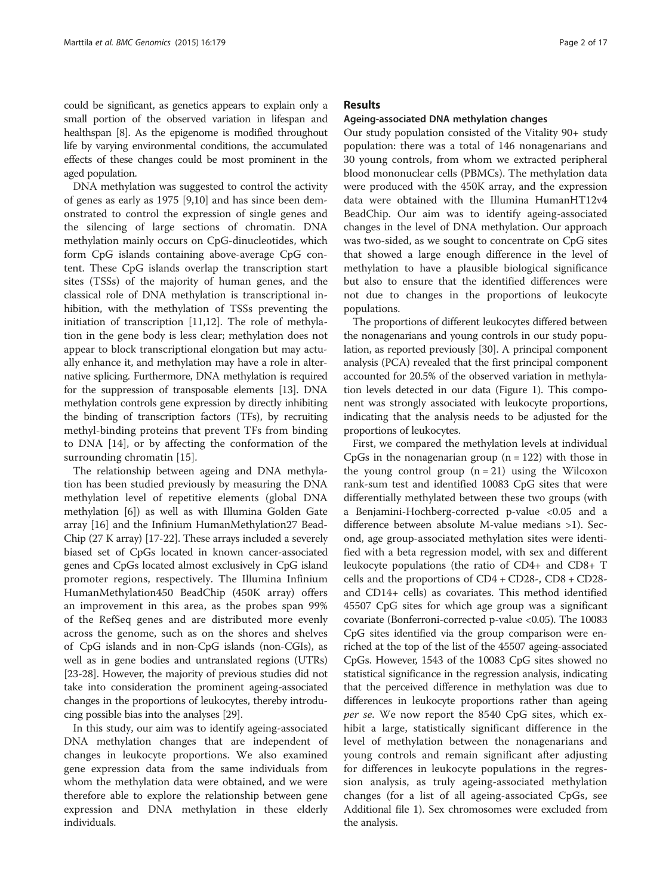could be significant, as genetics appears to explain only a small portion of the observed variation in lifespan and healthspan [\[8\]](#page-16-0). As the epigenome is modified throughout life by varying environmental conditions, the accumulated effects of these changes could be most prominent in the aged population.

DNA methylation was suggested to control the activity of genes as early as 1975 [[9,10\]](#page-16-0) and has since been demonstrated to control the expression of single genes and the silencing of large sections of chromatin. DNA methylation mainly occurs on CpG-dinucleotides, which form CpG islands containing above-average CpG content. These CpG islands overlap the transcription start sites (TSSs) of the majority of human genes, and the classical role of DNA methylation is transcriptional inhibition, with the methylation of TSSs preventing the initiation of transcription [\[11,12](#page-16-0)]. The role of methylation in the gene body is less clear; methylation does not appear to block transcriptional elongation but may actually enhance it, and methylation may have a role in alternative splicing. Furthermore, DNA methylation is required for the suppression of transposable elements [\[13\]](#page-16-0). DNA methylation controls gene expression by directly inhibiting the binding of transcription factors (TFs), by recruiting methyl-binding proteins that prevent TFs from binding to DNA [[14](#page-16-0)], or by affecting the conformation of the surrounding chromatin [\[15\]](#page-16-0).

The relationship between ageing and DNA methylation has been studied previously by measuring the DNA methylation level of repetitive elements (global DNA methylation [\[6\]](#page-16-0)) as well as with Illumina Golden Gate array [[16\]](#page-16-0) and the Infinium HumanMethylation27 Bead-Chip (27 K array) [[17](#page-16-0)-[22\]](#page-16-0). These arrays included a severely biased set of CpGs located in known cancer-associated genes and CpGs located almost exclusively in CpG island promoter regions, respectively. The Illumina Infinium HumanMethylation450 BeadChip (450K array) offers an improvement in this area, as the probes span 99% of the RefSeq genes and are distributed more evenly across the genome, such as on the shores and shelves of CpG islands and in non-CpG islands (non-CGIs), as well as in gene bodies and untranslated regions (UTRs) [[23](#page-16-0)-[28](#page-16-0)]. However, the majority of previous studies did not take into consideration the prominent ageing-associated changes in the proportions of leukocytes, thereby introducing possible bias into the analyses [\[29\]](#page-16-0).

In this study, our aim was to identify ageing-associated DNA methylation changes that are independent of changes in leukocyte proportions. We also examined gene expression data from the same individuals from whom the methylation data were obtained, and we were therefore able to explore the relationship between gene expression and DNA methylation in these elderly individuals.

#### Results

#### Ageing-associated DNA methylation changes

Our study population consisted of the Vitality 90+ study population: there was a total of 146 nonagenarians and 30 young controls, from whom we extracted peripheral blood mononuclear cells (PBMCs). The methylation data were produced with the 450K array, and the expression data were obtained with the Illumina HumanHT12v4 BeadChip. Our aim was to identify ageing-associated changes in the level of DNA methylation. Our approach was two-sided, as we sought to concentrate on CpG sites that showed a large enough difference in the level of methylation to have a plausible biological significance but also to ensure that the identified differences were not due to changes in the proportions of leukocyte populations.

The proportions of different leukocytes differed between the nonagenarians and young controls in our study population, as reported previously [\[30\]](#page-16-0). A principal component analysis (PCA) revealed that the first principal component accounted for 20.5% of the observed variation in methylation levels detected in our data (Figure [1](#page-3-0)). This component was strongly associated with leukocyte proportions, indicating that the analysis needs to be adjusted for the proportions of leukocytes.

First, we compared the methylation levels at individual CpGs in the nonagenarian group  $(n = 122)$  with those in the young control group  $(n = 21)$  using the Wilcoxon rank-sum test and identified 10083 CpG sites that were differentially methylated between these two groups (with a Benjamini-Hochberg-corrected p-value <0.05 and a difference between absolute M-value medians >1). Second, age group-associated methylation sites were identified with a beta regression model, with sex and different leukocyte populations (the ratio of CD4+ and CD8+ T cells and the proportions of CD4 + CD28-, CD8 + CD28 and CD14+ cells) as covariates. This method identified 45507 CpG sites for which age group was a significant covariate (Bonferroni-corrected p-value <0.05). The 10083 CpG sites identified via the group comparison were enriched at the top of the list of the 45507 ageing-associated CpGs. However, 1543 of the 10083 CpG sites showed no statistical significance in the regression analysis, indicating that the perceived difference in methylation was due to differences in leukocyte proportions rather than ageing per se. We now report the 8540 CpG sites, which exhibit a large, statistically significant difference in the level of methylation between the nonagenarians and young controls and remain significant after adjusting for differences in leukocyte populations in the regression analysis, as truly ageing-associated methylation changes (for a list of all ageing-associated CpGs, see Additional file [1](#page-15-0)). Sex chromosomes were excluded from the analysis.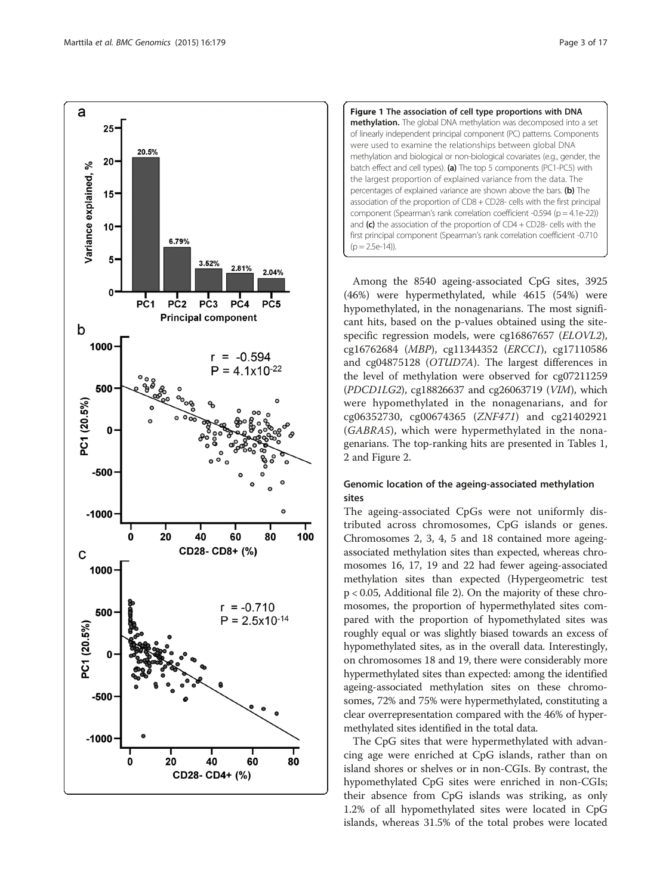<span id="page-3-0"></span>



Among the 8540 ageing-associated CpG sites, 3925 (46%) were hypermethylated, while 4615 (54%) were hypomethylated, in the nonagenarians. The most significant hits, based on the p-values obtained using the sitespecific regression models, were cg16867657 (ELOVL2), cg16762684 (MBP), cg11344352 (ERCC1), cg17110586 and cg04875128 (OTUD7A). The largest differences in the level of methylation were observed for cg07211259 (PDCD1LG2), cg18826637 and cg26063719 (VIM), which were hypomethylated in the nonagenarians, and for cg06352730, cg00674365 (ZNF471) and cg21402921 (GABRA5), which were hypermethylated in the nonagenarians. The top-ranking hits are presented in Tables [1](#page-4-0), [2](#page-5-0) and Figure [2](#page-5-0).

## Genomic location of the ageing-associated methylation sites

The ageing-associated CpGs were not uniformly distributed across chromosomes, CpG islands or genes. Chromosomes 2, 3, 4, 5 and 18 contained more ageingassociated methylation sites than expected, whereas chromosomes 16, 17, 19 and 22 had fewer ageing-associated methylation sites than expected (Hypergeometric test p < 0.05, Additional file [2](#page-15-0)). On the majority of these chromosomes, the proportion of hypermethylated sites compared with the proportion of hypomethylated sites was roughly equal or was slightly biased towards an excess of hypomethylated sites, as in the overall data. Interestingly, on chromosomes 18 and 19, there were considerably more hypermethylated sites than expected: among the identified ageing-associated methylation sites on these chromosomes, 72% and 75% were hypermethylated, constituting a clear overrepresentation compared with the 46% of hypermethylated sites identified in the total data.

The CpG sites that were hypermethylated with advancing age were enriched at CpG islands, rather than on island shores or shelves or in non-CGIs. By contrast, the hypomethylated CpG sites were enriched in non-CGIs; their absence from CpG islands was striking, as only 1.2% of all hypomethylated sites were located in CpG islands, whereas 31.5% of the total probes were located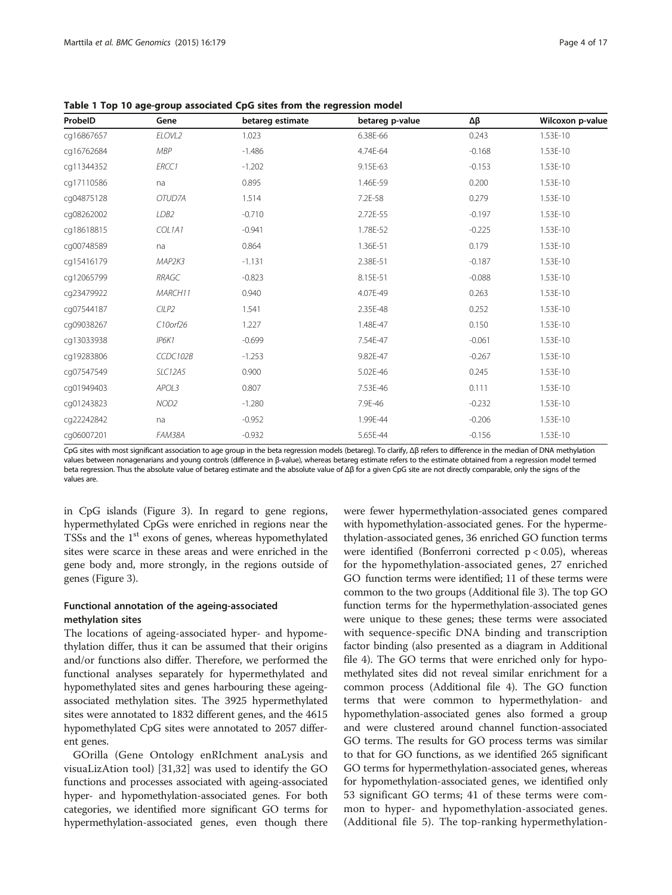| ProbelD    | Gene             | betareg estimate | betareg p-value | Δβ       | Wilcoxon p-value |
|------------|------------------|------------------|-----------------|----------|------------------|
| cq16867657 | ELOVL2           | 1.023            | 6.38E-66        | 0.243    | 1.53E-10         |
| cq16762684 | <b>MBP</b>       | $-1.486$         | 4.74E-64        | $-0.168$ | 1.53E-10         |
| cq11344352 | ERCC1            | $-1.202$         | 9.15E-63        | $-0.153$ | 1.53E-10         |
| cq17110586 | na               | 0.895            | 1.46E-59        | 0.200    | 1.53E-10         |
| cq04875128 | OTUD7A           | 1.514            | 7.2E-58         | 0.279    | 1.53E-10         |
| cg08262002 | LDB <sub>2</sub> | $-0.710$         | 2.72E-55        | $-0.197$ | 1.53E-10         |
| cq18618815 | COL1A1           | $-0.941$         | 1.78E-52        | $-0.225$ | 1.53E-10         |
| cq00748589 | na               | 0.864            | 1.36E-51        | 0.179    | 1.53E-10         |
| cq15416179 | MAP2K3           | $-1.131$         | 2.38E-51        | $-0.187$ | 1.53E-10         |
| cq12065799 | RRAGC            | $-0.823$         | 8.15E-51        | $-0.088$ | 1.53E-10         |
| cq23479922 | MARCH11          | 0.940            | 4.07E-49        | 0.263    | 1.53E-10         |
| cg07544187 | CILP2            | 1.541            | 2.35E-48        | 0.252    | 1.53E-10         |
| cq09038267 | C10orf26         | 1.227            | 1.48E-47        | 0.150    | 1.53E-10         |
| cq13033938 | IP6K1            | $-0.699$         | 7.54E-47        | $-0.061$ | 1.53E-10         |
| cq19283806 | CCDC102B         | $-1.253$         | 9.82E-47        | $-0.267$ | 1.53E-10         |
| cq07547549 | <b>SLC12A5</b>   | 0.900            | 5.02E-46        | 0.245    | 1.53E-10         |
| cq01949403 | APOL3            | 0.807            | 7.53E-46        | 0.111    | 1.53E-10         |
| cg01243823 | NOD <sub>2</sub> | $-1.280$         | 7.9E-46         | $-0.232$ | 1.53E-10         |
| cq22242842 | na               | $-0.952$         | 1.99E-44        | $-0.206$ | 1.53E-10         |
| cq06007201 | FAM38A           | $-0.932$         | 5.65E-44        | $-0.156$ | 1.53E-10         |

<span id="page-4-0"></span>Table 1 Top 10 age-group associated CpG sites from the regression model

CpG sites with most significant association to age group in the beta regression models (betareg). To clarify, Δβ refers to difference in the median of DNA methylation values between nonagenarians and young controls (difference in β-value), whereas betareg estimate refers to the estimate obtained from a regression model termed beta regression. Thus the absolute value of betareg estimate and the absolute value of Δβ for a given CpG site are not directly comparable, only the signs of the values are.

in CpG islands (Figure [3\)](#page-6-0). In regard to gene regions, hypermethylated CpGs were enriched in regions near the TSSs and the  $1<sup>st</sup>$  exons of genes, whereas hypomethylated sites were scarce in these areas and were enriched in the gene body and, more strongly, in the regions outside of genes (Figure [3](#page-6-0)).

## Functional annotation of the ageing-associated methylation sites

The locations of ageing-associated hyper- and hypomethylation differ, thus it can be assumed that their origins and/or functions also differ. Therefore, we performed the functional analyses separately for hypermethylated and hypomethylated sites and genes harbouring these ageingassociated methylation sites. The 3925 hypermethylated sites were annotated to 1832 different genes, and the 4615 hypomethylated CpG sites were annotated to 2057 different genes.

GOrilla (Gene Ontology enRIchment anaLysis and visuaLizAtion tool) [\[31](#page-16-0),[32\]](#page-16-0) was used to identify the GO functions and processes associated with ageing-associated hyper- and hypomethylation-associated genes. For both categories, we identified more significant GO terms for hypermethylation-associated genes, even though there

were fewer hypermethylation-associated genes compared with hypomethylation-associated genes. For the hypermethylation-associated genes, 36 enriched GO function terms were identified (Bonferroni corrected  $p < 0.05$ ), whereas for the hypomethylation-associated genes, 27 enriched GO function terms were identified; 11 of these terms were common to the two groups (Additional file [3](#page-15-0)). The top GO function terms for the hypermethylation-associated genes were unique to these genes; these terms were associated with sequence-specific DNA binding and transcription factor binding (also presented as a diagram in Additional file [4](#page-15-0)). The GO terms that were enriched only for hypomethylated sites did not reveal similar enrichment for a common process (Additional file [4](#page-15-0)). The GO function terms that were common to hypermethylation- and hypomethylation-associated genes also formed a group and were clustered around channel function-associated GO terms. The results for GO process terms was similar to that for GO functions, as we identified 265 significant GO terms for hypermethylation-associated genes, whereas for hypomethylation-associated genes, we identified only 53 significant GO terms; 41 of these terms were common to hyper- and hypomethylation-associated genes. (Additional file [5](#page-15-0)). The top-ranking hypermethylation-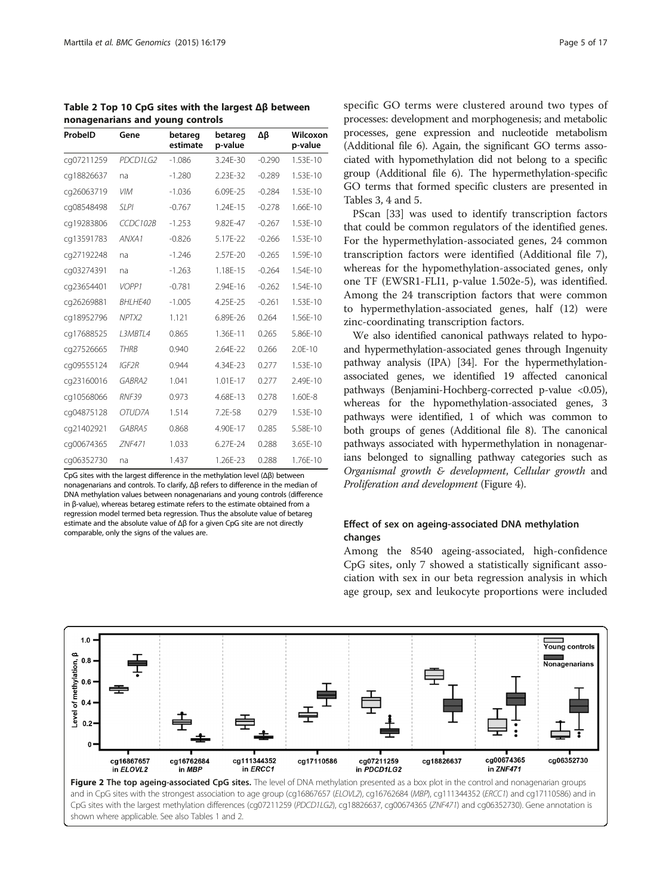<span id="page-5-0"></span>Table 2 Top 10 CpG sites with the largest Δβ between nonagenarians and young controls

| ProbelD    | Gene               | betareg<br>estimate | betareg<br>p-value | Δβ       | Wilcoxon<br>p-value |
|------------|--------------------|---------------------|--------------------|----------|---------------------|
| cg07211259 | PDCD1LG2           | $-1.086$            | 3.24F-30           | $-0.290$ | 1.53E-10            |
| cq18826637 | na                 | $-1.280$            | 2.23E-32           | $-0.289$ | 1.53E-10            |
| cq26063719 | <b>VIM</b>         | $-1.036$            | 6.09F-25           | $-0.284$ | 1.53F-10            |
| cq08548498 | <b>SLPI</b>        | $-0.767$            | 1.24E-15           | $-0.278$ | 1.66E-10            |
| cq19283806 | CCDC102B           | $-1.253$            | 9.82E-47           | $-0.267$ | 1.53E-10            |
| cq13591783 | ANXA1              | $-0.826$            | 5.17E-22           | $-0.266$ | 1.53E-10            |
| cg27192248 | na                 | $-1.246$            | 2.57E-20           | $-0.265$ | 1.59E-10            |
| cg03274391 | na                 | $-1.263$            | 1.18E-15           | $-0.264$ | 1.54E-10            |
| cq23654401 | VOPP1              | $-0.781$            | 2.94F-16           | $-0.262$ | $1.54F - 10$        |
| cg26269881 | <b>BHI HF40</b>    | $-1.005$            | 4.25E-25           | $-0.261$ | 1.53E-10            |
| cq18952796 | NPTX2              | 1.121               | 6.89E-26           | 0.264    | 1.56F-10            |
| cq17688525 | L3MBTL4            | 0.865               | 1.36E-11           | 0.265    | 5.86E-10            |
| cq27526665 | <b>THRR</b>        | 0.940               | 2.64F-22           | 0.266    | $2.0F-10$           |
| cq09555124 | IGF2R              | 0.944               | 4.34E-23           | 0.277    | 1.53E-10            |
| cq23160016 | GABRA <sub>2</sub> | 1.041               | $1.01F - 17$       | 0.277    | $2.49F - 10$        |
| cq10568066 | RNF39              | 0.973               | 4.68E-13           | 0.278    | 1.60E-8             |
| cq04875128 | OTUD7A             | 1.514               | 7.2E-58            | 0.279    | 1.53E-10            |
| cq21402921 | GABRA5             | 0.868               | 4.90F-17           | 0.285    | 5.58E-10            |
| cg00674365 | <b>7NF471</b>      | 1.033               | 6.27E-24           | 0.288    | 3.65E-10            |
| cg06352730 | na                 | 1.437               | 1.26E-23           | 0.288    | 1.76E-10            |

CpG sites with the largest difference in the methylation level (Δβ) between nonagenarians and controls. To clarify, Δβ refers to difference in the median of DNA methylation values between nonagenarians and young controls (difference in β-value), whereas betareg estimate refers to the estimate obtained from a regression model termed beta regression. Thus the absolute value of betareg estimate and the absolute value of Δβ for a given CpG site are not directly comparable, only the signs of the values are.

specific GO terms were clustered around two types of processes: development and morphogenesis; and metabolic processes, gene expression and nucleotide metabolism (Additional file [6](#page-15-0)). Again, the significant GO terms associated with hypomethylation did not belong to a specific group (Additional file [6](#page-15-0)). The hypermethylation-specific GO terms that formed specific clusters are presented in Tables [3](#page-6-0), [4](#page-7-0) and [5.](#page-8-0)

PScan [\[33](#page-16-0)] was used to identify transcription factors that could be common regulators of the identified genes. For the hypermethylation-associated genes, 24 common transcription factors were identified (Additional file [7](#page-15-0)), whereas for the hypomethylation-associated genes, only one TF (EWSR1-FLI1, p-value 1.502e-5), was identified. Among the 24 transcription factors that were common to hypermethylation-associated genes, half (12) were zinc-coordinating transcription factors.

We also identified canonical pathways related to hypoand hypermethylation-associated genes through Ingenuity pathway analysis (IPA) [\[34\]](#page-16-0). For the hypermethylationassociated genes, we identified 19 affected canonical pathways (Benjamini-Hochberg-corrected p-value <0.05), whereas for the hypomethylation-associated genes, 3 pathways were identified, 1 of which was common to both groups of genes (Additional file [8](#page-15-0)). The canonical pathways associated with hypermethylation in nonagenarians belonged to signalling pathway categories such as Organismal growth & development, Cellular growth and Proliferation and development (Figure [4](#page-9-0)).

## Effect of sex on ageing-associated DNA methylation changes

Among the 8540 ageing-associated, high-confidence CpG sites, only 7 showed a statistically significant association with sex in our beta regression analysis in which age group, sex and leukocyte proportions were included



shown where applicable. See also Tables [1](#page-4-0) and 2.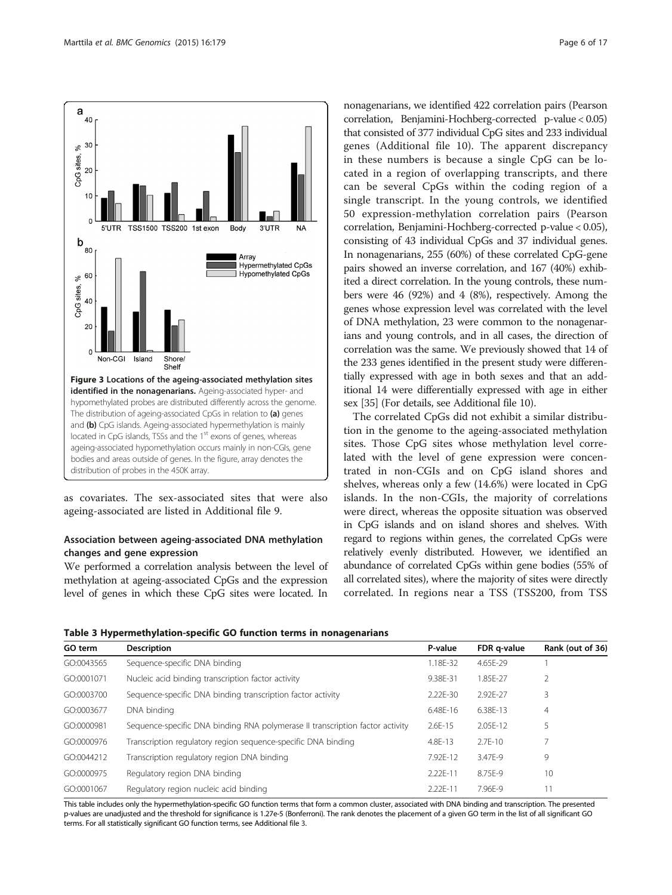<span id="page-6-0"></span>

as covariates. The sex-associated sites that were also ageing-associated are listed in Additional file [9.](#page-15-0)

## Association between ageing-associated DNA methylation changes and gene expression

We performed a correlation analysis between the level of methylation at ageing-associated CpGs and the expression level of genes in which these CpG sites were located. In

nonagenarians, we identified 422 correlation pairs (Pearson correlation, Benjamini-Hochberg-corrected p-value < 0.05) that consisted of 377 individual CpG sites and 233 individual genes (Additional file [10\)](#page-15-0). The apparent discrepancy in these numbers is because a single CpG can be located in a region of overlapping transcripts, and there can be several CpGs within the coding region of a single transcript. In the young controls, we identified 50 expression-methylation correlation pairs (Pearson correlation, Benjamini-Hochberg-corrected p-value < 0.05), consisting of 43 individual CpGs and 37 individual genes. In nonagenarians, 255 (60%) of these correlated CpG-gene pairs showed an inverse correlation, and 167 (40%) exhibited a direct correlation. In the young controls, these numbers were 46 (92%) and 4 (8%), respectively. Among the genes whose expression level was correlated with the level of DNA methylation, 23 were common to the nonagenarians and young controls, and in all cases, the direction of correlation was the same. We previously showed that 14 of the 233 genes identified in the present study were differentially expressed with age in both sexes and that an additional 14 were differentially expressed with age in either sex [\[35](#page-16-0)] (For details, see Additional file [10](#page-15-0)).

The correlated CpGs did not exhibit a similar distribution in the genome to the ageing-associated methylation sites. Those CpG sites whose methylation level correlated with the level of gene expression were concentrated in non-CGIs and on CpG island shores and shelves, whereas only a few (14.6%) were located in CpG islands. In the non-CGIs, the majority of correlations were direct, whereas the opposite situation was observed in CpG islands and on island shores and shelves. With regard to regions within genes, the correlated CpGs were relatively evenly distributed. However, we identified an abundance of correlated CpGs within gene bodies (55% of all correlated sites), where the majority of sites were directly correlated. In regions near a TSS (TSS200, from TSS

Table 3 Hypermethylation-specific GO function terms in nonagenarians

| Table 3 Hypermethylation-specific GO function terms in honagenarians |                                                                               |              |             |                  |  |
|----------------------------------------------------------------------|-------------------------------------------------------------------------------|--------------|-------------|------------------|--|
| GO term                                                              | <b>Description</b>                                                            | P-value      | FDR q-value | Rank (out of 36) |  |
| GO:0043565                                                           | Sequence-specific DNA binding                                                 | 1.18E-32     | 4.65E-29    |                  |  |
| GO:0001071                                                           | Nucleic acid binding transcription factor activity                            | 9.38E-31     | 1.85E-27    | 2                |  |
| GO:0003700                                                           | Sequence-specific DNA binding transcription factor activity                   | 2.22E-30     | 2.92E-27    | 3                |  |
| GO:0003677                                                           | DNA binding                                                                   | 6.48E-16     | 6.38E-13    | $\overline{4}$   |  |
| GO:0000981                                                           | Sequence-specific DNA binding RNA polymerase II transcription factor activity | 2.6E-15      | 2.05E-12    | 5                |  |
| GO:0000976                                                           | Transcription regulatory region seguence-specific DNA binding                 | 4.8E-13      | $2.7F-10$   |                  |  |
| GO:0044212                                                           | Transcription regulatory region DNA binding                                   | 7.92F-12     | 3.47F-9     | 9                |  |
| GO:0000975                                                           | Regulatory region DNA binding                                                 | 2.22E-11     | 8.75F-9     | 10               |  |
| GO:0001067                                                           | Regulatory region nucleic acid binding                                        | $2.22F - 11$ | 7.96F-9     |                  |  |

This table includes only the hypermethylation-specific GO function terms that form a common cluster, associated with DNA binding and transcription. The presented p-values are unadjusted and the threshold for significance is 1.27e-5 (Bonferroni). The rank denotes the placement of a given GO term in the list of all significant GO terms. For all statistically significant GO function terms, see Additional file [3.](#page-15-0)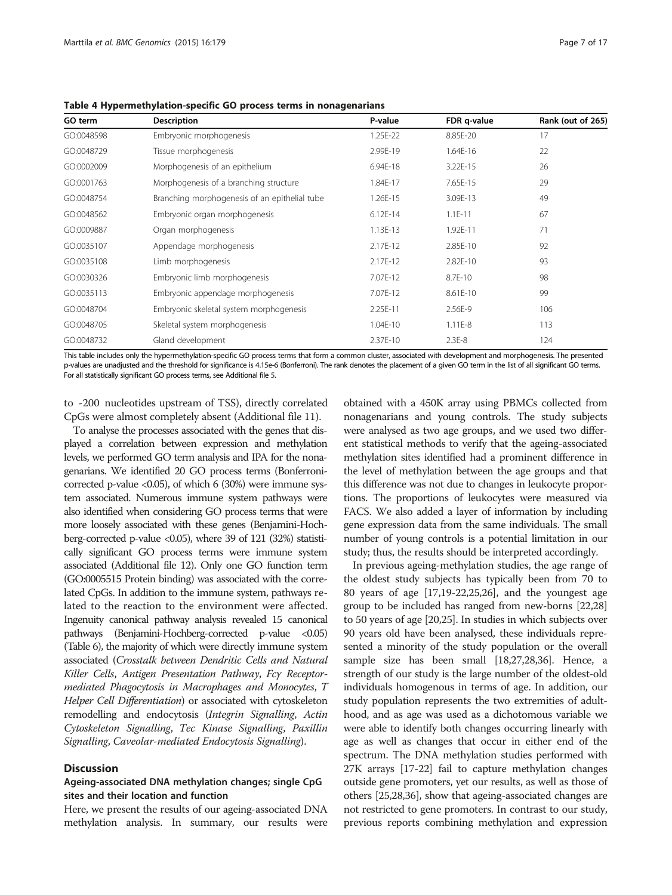| GO term    | <b>Description</b>                            | P-value    | FDR q-value | Rank (out of 265) |
|------------|-----------------------------------------------|------------|-------------|-------------------|
| GO:0048598 | Embryonic morphogenesis                       | 1.25E-22   | 8.85E-20    | 17                |
| GO:0048729 | Tissue morphogenesis                          | 2.99E-19   | 1.64E-16    | 22                |
| GO:0002009 | Morphogenesis of an epithelium                | 6.94E-18   | 3.22E-15    | 26                |
| GO:0001763 | Morphogenesis of a branching structure        | 1.84E-17   | 7.65E-15    | 29                |
| GO:0048754 | Branching morphogenesis of an epithelial tube | 1.26E-15   | 3.09E-13    | 49                |
| GO:0048562 | Embryonic organ morphogenesis                 | $6.12E-14$ | $1.1E-11$   | 67                |
| GO:0009887 | Organ morphogenesis                           | $1.13E-13$ | 1.92E-11    | 71                |
| GO:0035107 | Appendage morphogenesis                       | 2.17E-12   | 2.85E-10    | 92                |
| GO:0035108 | Limb morphogenesis                            | 2.17E-12   | 2.82E-10    | 93                |
| GO:0030326 | Embryonic limb morphogenesis                  | 7.07E-12   | 8.7E-10     | 98                |
| GO:0035113 | Embryonic appendage morphogenesis             | 7.07E-12   | 8.61E-10    | 99                |
| GO:0048704 | Embryonic skeletal system morphogenesis       | 2.25E-11   | 2.56E-9     | 106               |
| GO:0048705 | Skeletal system morphogenesis                 | 1.04E-10   | $1.11E-8$   | 113               |
| GO:0048732 | Gland development                             | 2.37E-10   | $2.3E-8$    | 124               |

<span id="page-7-0"></span>Table 4 Hypermethylation-specific GO process terms in nonagenarians

This table includes only the hypermethylation-specific GO process terms that form a common cluster, associated with development and morphogenesis. The presented p-values are unadjusted and the threshold for significance is 4.15e-6 (Bonferroni). The rank denotes the placement of a given GO term in the list of all significant GO terms. For all statistically significant GO process terms, see Additional file [5.](#page-15-0)

to -200 nucleotides upstream of TSS), directly correlated CpGs were almost completely absent (Additional file [11\)](#page-15-0).

To analyse the processes associated with the genes that displayed a correlation between expression and methylation levels, we performed GO term analysis and IPA for the nonagenarians. We identified 20 GO process terms (Bonferronicorrected p-value <0.05), of which 6 (30%) were immune system associated. Numerous immune system pathways were also identified when considering GO process terms that were more loosely associated with these genes (Benjamini-Hochberg-corrected p-value <0.05), where 39 of 121 (32%) statistically significant GO process terms were immune system associated (Additional file [12](#page-15-0)). Only one GO function term (GO:0005515 Protein binding) was associated with the correlated CpGs. In addition to the immune system, pathways related to the reaction to the environment were affected. Ingenuity canonical pathway analysis revealed 15 canonical pathways (Benjamini-Hochberg-corrected p-value <0.05) (Table [6\)](#page-9-0), the majority of which were directly immune system associated (Crosstalk between Dendritic Cells and Natural Killer Cells, Antigen Presentation Pathway, Fcγ Receptormediated Phagocytosis in Macrophages and Monocytes, T Helper Cell Differentiation) or associated with cytoskeleton remodelling and endocytosis (Integrin Signalling, Actin Cytoskeleton Signalling, Tec Kinase Signalling, Paxillin Signalling, Caveolar-mediated Endocytosis Signalling).

#### **Discussion**

## Ageing-associated DNA methylation changes; single CpG sites and their location and function

Here, we present the results of our ageing-associated DNA methylation analysis. In summary, our results were obtained with a 450K array using PBMCs collected from nonagenarians and young controls. The study subjects were analysed as two age groups, and we used two different statistical methods to verify that the ageing-associated methylation sites identified had a prominent difference in the level of methylation between the age groups and that this difference was not due to changes in leukocyte proportions. The proportions of leukocytes were measured via FACS. We also added a layer of information by including gene expression data from the same individuals. The small number of young controls is a potential limitation in our study; thus, the results should be interpreted accordingly.

In previous ageing-methylation studies, the age range of the oldest study subjects has typically been from 70 to 80 years of age [\[17,19](#page-16-0)-[22](#page-16-0),[25,26\]](#page-16-0), and the youngest age group to be included has ranged from new-borns [\[22,28](#page-16-0)] to 50 years of age [[20,25\]](#page-16-0). In studies in which subjects over 90 years old have been analysed, these individuals represented a minority of the study population or the overall sample size has been small [[18,27,28](#page-16-0),[36](#page-16-0)]. Hence, a strength of our study is the large number of the oldest-old individuals homogenous in terms of age. In addition, our study population represents the two extremities of adulthood, and as age was used as a dichotomous variable we were able to identify both changes occurring linearly with age as well as changes that occur in either end of the spectrum. The DNA methylation studies performed with 27K arrays [[17-22\]](#page-16-0) fail to capture methylation changes outside gene promoters, yet our results, as well as those of others [[25,28,36\]](#page-16-0), show that ageing-associated changes are not restricted to gene promoters. In contrast to our study, previous reports combining methylation and expression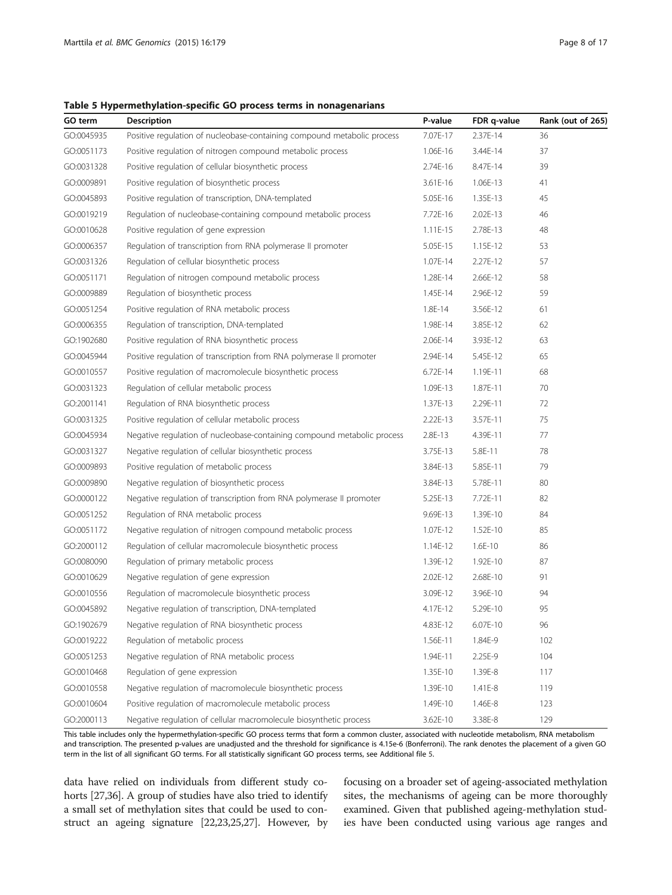## <span id="page-8-0"></span>Table 5 Hypermethylation-specific GO process terms in nonagenarians

| GO term    | <b>Description</b>                                                      | P-value    | FDR q-value | Rank (out of 265) |
|------------|-------------------------------------------------------------------------|------------|-------------|-------------------|
| GO:0045935 | Positive regulation of nucleobase-containing compound metabolic process | 7.07E-17   | 2.37E-14    | 36                |
| GO:0051173 | Positive regulation of nitrogen compound metabolic process              | 1.06E-16   | 3.44E-14    | 37                |
| GO:0031328 | Positive regulation of cellular biosynthetic process                    | 2.74E-16   | 8.47E-14    | 39                |
| GO:0009891 | Positive regulation of biosynthetic process                             | 3.61E-16   | 1.06E-13    | 41                |
| GO:0045893 | Positive regulation of transcription, DNA-templated                     | 5.05E-16   | 1.35E-13    | 45                |
| GO:0019219 | Regulation of nucleobase-containing compound metabolic process          | 7.72E-16   | 2.02E-13    | 46                |
| GO:0010628 | Positive regulation of gene expression                                  | $1.11E-15$ | 2.78E-13    | 48                |
| GO:0006357 | Regulation of transcription from RNA polymerase II promoter             | 5.05E-15   | 1.15E-12    | 53                |
| GO:0031326 | Regulation of cellular biosynthetic process                             | 1.07E-14   | 2.27E-12    | 57                |
| GO:0051171 | Regulation of nitrogen compound metabolic process                       | 1.28E-14   | 2.66E-12    | 58                |
| GO:0009889 | Regulation of biosynthetic process                                      | 1.45E-14   | 2.96E-12    | 59                |
| GO:0051254 | Positive regulation of RNA metabolic process                            | 1.8E-14    | 3.56E-12    | 61                |
| GO:0006355 | Regulation of transcription, DNA-templated                              | 1.98E-14   | 3.85E-12    | 62                |
| GO:1902680 | Positive regulation of RNA biosynthetic process                         | 2.06E-14   | 3.93E-12    | 63                |
| GO:0045944 | Positive regulation of transcription from RNA polymerase II promoter    | 2.94E-14   | 5.45E-12    | 65                |
| GO:0010557 | Positive regulation of macromolecule biosynthetic process               | 6.72E-14   | 1.19E-11    | 68                |
| GO:0031323 | Regulation of cellular metabolic process                                | 1.09E-13   | 1.87E-11    | 70                |
| GO:2001141 | Regulation of RNA biosynthetic process                                  | 1.37E-13   | 2.29E-11    | 72                |
| GO:0031325 | Positive regulation of cellular metabolic process                       | 2.22E-13   | 3.57E-11    | 75                |
| GO:0045934 | Negative regulation of nucleobase-containing compound metabolic process | 2.8E-13    | 4.39E-11    | 77                |
| GO:0031327 | Negative regulation of cellular biosynthetic process                    | 3.75E-13   | 5.8E-11     | 78                |
| GO:0009893 | Positive regulation of metabolic process                                | 3.84E-13   | 5.85E-11    | 79                |
| GO:0009890 | Negative regulation of biosynthetic process                             | 3.84E-13   | 5.78E-11    | 80                |
| GO:0000122 | Negative regulation of transcription from RNA polymerase II promoter    | 5.25E-13   | 7.72E-11    | 82                |
| GO:0051252 | Regulation of RNA metabolic process                                     | 9.69E-13   | 1.39E-10    | 84                |
| GO:0051172 | Negative regulation of nitrogen compound metabolic process              | 1.07E-12   | 1.52E-10    | 85                |
| GO:2000112 | Regulation of cellular macromolecule biosynthetic process               | 1.14E-12   | $1.6E-10$   | 86                |
| GO:0080090 | Regulation of primary metabolic process                                 | 1.39E-12   | 1.92E-10    | 87                |
| GO:0010629 | Negative regulation of gene expression                                  | 2.02E-12   | 2.68E-10    | 91                |
| GO:0010556 | Regulation of macromolecule biosynthetic process                        | 3.09E-12   | 3.96E-10    | 94                |
| GO:0045892 | Negative regulation of transcription, DNA-templated                     | 4.17E-12   | 5.29E-10    | 95                |
| GO:1902679 | Negative regulation of RNA biosynthetic process                         | 4.83E-12   | 6.07E-10    | 96                |
| GO:0019222 | Regulation of metabolic process                                         | 1.56E-11   | 1.84E-9     | 102               |
| GO:0051253 | Negative regulation of RNA metabolic process                            | 1.94E-11   | 2.25E-9     | 104               |
| GO:0010468 | Regulation of gene expression                                           | 1.35E-10   | 1.39E-8     | 117               |
| GO:0010558 | Negative regulation of macromolecule biosynthetic process               | 1.39E-10   | 1.41E-8     | 119               |
| GO:0010604 | Positive regulation of macromolecule metabolic process                  | 1.49E-10   | 1.46E-8     | 123               |
| GO:2000113 | Negative regulation of cellular macromolecule biosynthetic process      | 3.62E-10   | 3.38E-8     | 129               |

This table includes only the hypermethylation-specific GO process terms that form a common cluster, associated with nucleotide metabolism, RNA metabolism and transcription. The presented p-values are unadjusted and the threshold for significance is 4.15e-6 (Bonferroni). The rank denotes the placement of a given GO term in the list of all significant GO terms. For all statistically significant GO process terms, see Additional file [5.](#page-15-0)

data have relied on individuals from different study cohorts [\[27,36](#page-16-0)]. A group of studies have also tried to identify a small set of methylation sites that could be used to construct an ageing signature [\[22,23,25,27\]](#page-16-0). However, by

focusing on a broader set of ageing-associated methylation sites, the mechanisms of ageing can be more thoroughly examined. Given that published ageing-methylation studies have been conducted using various age ranges and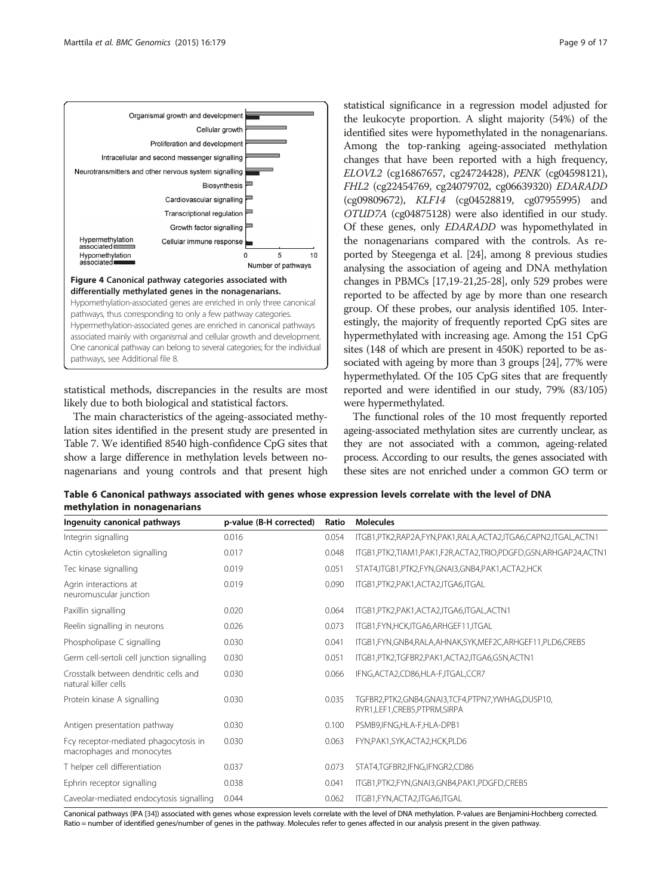<span id="page-9-0"></span>

statistical methods, discrepancies in the results are most likely due to both biological and statistical factors.

The main characteristics of the ageing-associated methylation sites identified in the present study are presented in Table [7](#page-10-0). We identified 8540 high-confidence CpG sites that show a large difference in methylation levels between nonagenarians and young controls and that present high statistical significance in a regression model adjusted for the leukocyte proportion. A slight majority (54%) of the identified sites were hypomethylated in the nonagenarians. Among the top-ranking ageing-associated methylation changes that have been reported with a high frequency, ELOVL2 (cg16867657, cg24724428), PENK (cg04598121), FHL2 (cg22454769, cg24079702, cg06639320) EDARADD (cg09809672), KLF14 (cg04528819, cg07955995) and OTUD7A (cg04875128) were also identified in our study. Of these genes, only EDARADD was hypomethylated in the nonagenarians compared with the controls. As reported by Steegenga et al. [[24](#page-16-0)], among 8 previous studies analysing the association of ageing and DNA methylation changes in PBMCs [\[17,19](#page-16-0)-[21,25-28\]](#page-16-0), only 529 probes were reported to be affected by age by more than one research group. Of these probes, our analysis identified 105. Interestingly, the majority of frequently reported CpG sites are hypermethylated with increasing age. Among the 151 CpG sites (148 of which are present in 450K) reported to be associated with ageing by more than 3 groups [\[24\]](#page-16-0), 77% were hypermethylated. Of the 105 CpG sites that are frequently reported and were identified in our study, 79% (83/105) were hypermethylated.

The functional roles of the 10 most frequently reported ageing-associated methylation sites are currently unclear, as they are not associated with a common, ageing-related process. According to our results, the genes associated with these sites are not enriched under a common GO term or

Table 6 Canonical pathways associated with genes whose expression levels correlate with the level of DNA methylation in nonagenarians

| Ingenuity canonical pathways                                       | p-value (B-H corrected) | Ratio | <b>Molecules</b>                                                                   |
|--------------------------------------------------------------------|-------------------------|-------|------------------------------------------------------------------------------------|
| Integrin signalling                                                | 0.016                   | 0.054 | ITGB1,PTK2,RAP2A,FYN,PAK1,RALA,ACTA2,ITGA6,CAPN2,ITGAL,ACTN1                       |
| Actin cytoskeleton signalling                                      | 0.017                   | 0.048 | ITGB1,PTK2,TIAM1,PAK1,F2R,ACTA2,TRIO,PDGFD,GSN,ARHGAP24,ACTN1                      |
| Tec kinase signalling                                              | 0.019                   | 0.051 | STAT4,ITGB1,PTK2,FYN,GNAI3,GNB4,PAK1,ACTA2,HCK                                     |
| Agrin interactions at<br>neuromuscular junction                    | 0.019                   | 0.090 | ITGB1, PTK2, PAK1, ACTA2, ITGA6, ITGAL                                             |
| Paxillin signalling                                                | 0.020                   | 0.064 | ITGB1,PTK2,PAK1,ACTA2,ITGA6,ITGAL,ACTN1                                            |
| Reelin signalling in neurons                                       | 0.026                   | 0.073 | ITGB1,FYN,HCK,ITGA6,ARHGEF11,ITGAL                                                 |
| Phospholipase C signalling                                         | 0.030                   | 0.041 | ITGB1,FYN,GNB4,RALA,AHNAK,SYK,MEF2C,ARHGEF11,PLD6,CREB5                            |
| Germ cell-sertoli cell junction signalling                         | 0.030                   | 0.051 | ITGB1,PTK2,TGFBR2,PAK1,ACTA2,ITGA6,GSN,ACTN1                                       |
| Crosstalk between dendritic cells and<br>natural killer cells      | 0.030                   | 0.066 | IFNG, ACTA2, CD86, HLA-F, ITGAL, CCR7                                              |
| Protein kinase A signalling                                        | 0.030                   | 0.035 | TGFBR2,PTK2,GNB4,GNAI3,TCF4,PTPN7,YWHAG,DUSP10,<br>RYR1, LEF1, CREB5, PTPRM, SIRPA |
| Antigen presentation pathway                                       | 0.030                   | 0.100 | PSMB9, IFNG, HLA-F, HLA-DPB1                                                       |
| Fcy receptor-mediated phagocytosis in<br>macrophages and monocytes | 0.030                   | 0.063 | FYN,PAK1,SYK,ACTA2,HCK,PLD6                                                        |
| T helper cell differentiation                                      | 0.037                   | 0.073 | STAT4,TGFBR2,IFNG,IFNGR2,CD86                                                      |
| Ephrin receptor signalling                                         | 0.038                   | 0.041 | ITGB1,PTK2,FYN,GNAI3,GNB4,PAK1,PDGFD,CREB5                                         |
| Caveolar-mediated endocytosis signalling                           | 0.044                   | 0.062 | ITGB1,FYN,ACTA2,ITGA6,ITGAL                                                        |

Canonical pathways (IPA [\[34](#page-16-0)]) associated with genes whose expression levels correlate with the level of DNA methylation. P-values are Benjamini-Hochberg corrected. Ratio = number of identified genes/number of genes in the pathway. Molecules refer to genes affected in our analysis present in the given pathway.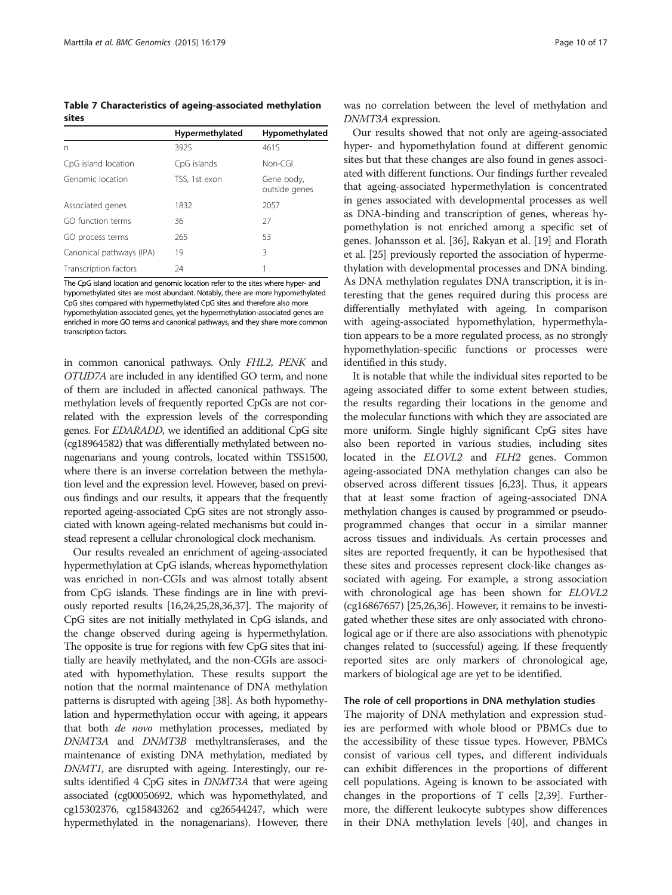<span id="page-10-0"></span>Table 7 Characteristics of ageing-associated methylation sites

|                          | Hypermethylated | Hypomethylated              |
|--------------------------|-----------------|-----------------------------|
| n                        | 3925            | 4615                        |
| CpG island location      | CpG islands     | $Non-CGI$                   |
| Genomic location         | TSS, 1st exon   | Gene body,<br>outside genes |
| Associated genes         | 1832            | 2057                        |
| GO function terms        | 36              | 27                          |
| GO process terms         | 265             | 53                          |
| Canonical pathways (IPA) | 19              | 3                           |
| Transcription factors    | 24              |                             |

The CpG island location and genomic location refer to the sites where hyper- and hypomethylated sites are most abundant. Notably, there are more hypomethylated CpG sites compared with hypermethylated CpG sites and therefore also more hypomethylation-associated genes, yet the hypermethylation-associated genes are enriched in more GO terms and canonical pathways, and they share more common transcription factors.

in common canonical pathways. Only FHL2, PENK and OTUD7A are included in any identified GO term, and none of them are included in affected canonical pathways. The methylation levels of frequently reported CpGs are not correlated with the expression levels of the corresponding genes. For EDARADD, we identified an additional CpG site (cg18964582) that was differentially methylated between nonagenarians and young controls, located within TSS1500, where there is an inverse correlation between the methylation level and the expression level. However, based on previous findings and our results, it appears that the frequently reported ageing-associated CpG sites are not strongly associated with known ageing-related mechanisms but could instead represent a cellular chronological clock mechanism.

Our results revealed an enrichment of ageing-associated hypermethylation at CpG islands, whereas hypomethylation was enriched in non-CGIs and was almost totally absent from CpG islands. These findings are in line with previously reported results [\[16,24,25,28,36,37\]](#page-16-0). The majority of CpG sites are not initially methylated in CpG islands, and the change observed during ageing is hypermethylation. The opposite is true for regions with few CpG sites that initially are heavily methylated, and the non-CGIs are associated with hypomethylation. These results support the notion that the normal maintenance of DNA methylation patterns is disrupted with ageing [\[38\]](#page-16-0). As both hypomethylation and hypermethylation occur with ageing, it appears that both de novo methylation processes, mediated by DNMT3A and DNMT3B methyltransferases, and the maintenance of existing DNA methylation, mediated by DNMT1, are disrupted with ageing. Interestingly, our results identified 4 CpG sites in DNMT3A that were ageing associated (cg00050692, which was hypomethylated, and cg15302376, cg15843262 and cg26544247, which were hypermethylated in the nonagenarians). However, there

was no correlation between the level of methylation and DNMT3A expression.

Our results showed that not only are ageing-associated hyper- and hypomethylation found at different genomic sites but that these changes are also found in genes associated with different functions. Our findings further revealed that ageing-associated hypermethylation is concentrated in genes associated with developmental processes as well as DNA-binding and transcription of genes, whereas hypomethylation is not enriched among a specific set of genes. Johansson et al. [\[36\]](#page-16-0), Rakyan et al. [\[19\]](#page-16-0) and Florath et al. [\[25\]](#page-16-0) previously reported the association of hypermethylation with developmental processes and DNA binding. As DNA methylation regulates DNA transcription, it is interesting that the genes required during this process are differentially methylated with ageing. In comparison with ageing-associated hypomethylation, hypermethylation appears to be a more regulated process, as no strongly hypomethylation-specific functions or processes were identified in this study.

It is notable that while the individual sites reported to be ageing associated differ to some extent between studies, the results regarding their locations in the genome and the molecular functions with which they are associated are more uniform. Single highly significant CpG sites have also been reported in various studies, including sites located in the ELOVL2 and FLH2 genes. Common ageing-associated DNA methylation changes can also be observed across different tissues [\[6,23\]](#page-16-0). Thus, it appears that at least some fraction of ageing-associated DNA methylation changes is caused by programmed or pseudoprogrammed changes that occur in a similar manner across tissues and individuals. As certain processes and sites are reported frequently, it can be hypothesised that these sites and processes represent clock-like changes associated with ageing. For example, a strong association with chronological age has been shown for *ELOVL2* (cg16867657) [[25,26,36\]](#page-16-0). However, it remains to be investigated whether these sites are only associated with chronological age or if there are also associations with phenotypic changes related to (successful) ageing. If these frequently reported sites are only markers of chronological age, markers of biological age are yet to be identified.

#### The role of cell proportions in DNA methylation studies

The majority of DNA methylation and expression studies are performed with whole blood or PBMCs due to the accessibility of these tissue types. However, PBMCs consist of various cell types, and different individuals can exhibit differences in the proportions of different cell populations. Ageing is known to be associated with changes in the proportions of T cells [\[2,39\]](#page-16-0). Furthermore, the different leukocyte subtypes show differences in their DNA methylation levels [[40\]](#page-16-0), and changes in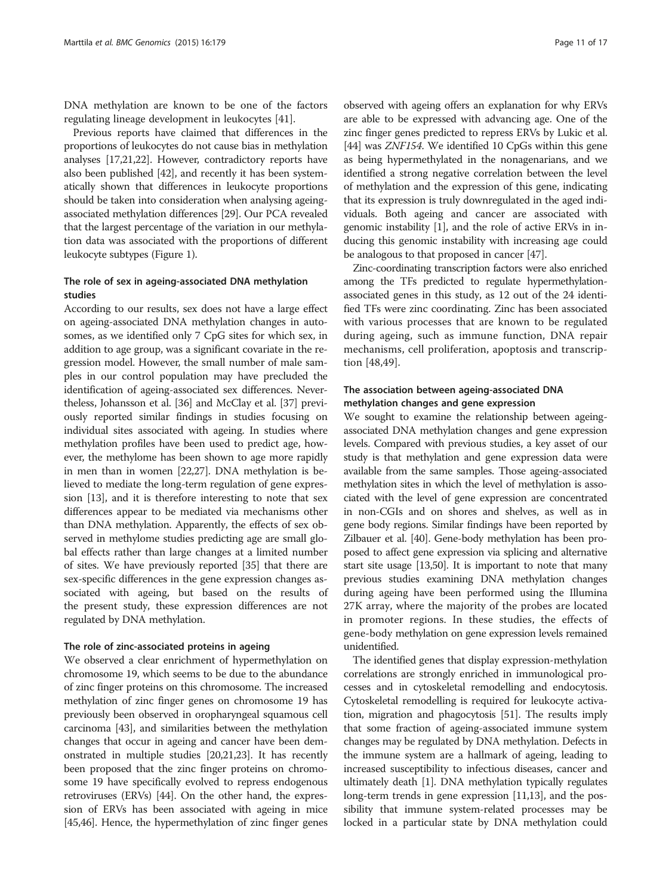DNA methylation are known to be one of the factors regulating lineage development in leukocytes [[41\]](#page-16-0).

Previous reports have claimed that differences in the proportions of leukocytes do not cause bias in methylation analyses [[17,21,22\]](#page-16-0). However, contradictory reports have also been published [\[42\]](#page-16-0), and recently it has been systematically shown that differences in leukocyte proportions should be taken into consideration when analysing ageingassociated methylation differences [\[29\]](#page-16-0). Our PCA revealed that the largest percentage of the variation in our methylation data was associated with the proportions of different leukocyte subtypes (Figure [1\)](#page-3-0).

## The role of sex in ageing-associated DNA methylation studies

According to our results, sex does not have a large effect on ageing-associated DNA methylation changes in autosomes, as we identified only 7 CpG sites for which sex, in addition to age group, was a significant covariate in the regression model. However, the small number of male samples in our control population may have precluded the identification of ageing-associated sex differences. Nevertheless, Johansson et al. [\[36\]](#page-16-0) and McClay et al. [\[37\]](#page-16-0) previously reported similar findings in studies focusing on individual sites associated with ageing. In studies where methylation profiles have been used to predict age, however, the methylome has been shown to age more rapidly in men than in women [\[22,27\]](#page-16-0). DNA methylation is believed to mediate the long-term regulation of gene expression [\[13\]](#page-16-0), and it is therefore interesting to note that sex differences appear to be mediated via mechanisms other than DNA methylation. Apparently, the effects of sex observed in methylome studies predicting age are small global effects rather than large changes at a limited number of sites. We have previously reported [[35](#page-16-0)] that there are sex-specific differences in the gene expression changes associated with ageing, but based on the results of the present study, these expression differences are not regulated by DNA methylation.

#### The role of zinc-associated proteins in ageing

We observed a clear enrichment of hypermethylation on chromosome 19, which seems to be due to the abundance of zinc finger proteins on this chromosome. The increased methylation of zinc finger genes on chromosome 19 has previously been observed in oropharyngeal squamous cell carcinoma [\[43\]](#page-16-0), and similarities between the methylation changes that occur in ageing and cancer have been demonstrated in multiple studies [[20,21,23\]](#page-16-0). It has recently been proposed that the zinc finger proteins on chromosome 19 have specifically evolved to repress endogenous retroviruses (ERVs) [[44](#page-16-0)]. On the other hand, the expression of ERVs has been associated with ageing in mice [[45,46](#page-16-0)]. Hence, the hypermethylation of zinc finger genes

observed with ageing offers an explanation for why ERVs are able to be expressed with advancing age. One of the zinc finger genes predicted to repress ERVs by Lukic et al. [[44](#page-16-0)] was ZNF154. We identified 10 CpGs within this gene as being hypermethylated in the nonagenarians, and we identified a strong negative correlation between the level of methylation and the expression of this gene, indicating that its expression is truly downregulated in the aged individuals. Both ageing and cancer are associated with genomic instability [\[1](#page-15-0)], and the role of active ERVs in inducing this genomic instability with increasing age could be analogous to that proposed in cancer [\[47\]](#page-16-0).

Zinc-coordinating transcription factors were also enriched among the TFs predicted to regulate hypermethylationassociated genes in this study, as 12 out of the 24 identified TFs were zinc coordinating. Zinc has been associated with various processes that are known to be regulated during ageing, such as immune function, DNA repair mechanisms, cell proliferation, apoptosis and transcription [\[48,49](#page-16-0)].

## The association between ageing-associated DNA methylation changes and gene expression

We sought to examine the relationship between ageingassociated DNA methylation changes and gene expression levels. Compared with previous studies, a key asset of our study is that methylation and gene expression data were available from the same samples. Those ageing-associated methylation sites in which the level of methylation is associated with the level of gene expression are concentrated in non-CGIs and on shores and shelves, as well as in gene body regions. Similar findings have been reported by Zilbauer et al. [\[40\]](#page-16-0). Gene-body methylation has been proposed to affect gene expression via splicing and alternative start site usage [[13,50\]](#page-16-0). It is important to note that many previous studies examining DNA methylation changes during ageing have been performed using the Illumina 27K array, where the majority of the probes are located in promoter regions. In these studies, the effects of gene-body methylation on gene expression levels remained unidentified.

The identified genes that display expression-methylation correlations are strongly enriched in immunological processes and in cytoskeletal remodelling and endocytosis. Cytoskeletal remodelling is required for leukocyte activation, migration and phagocytosis [[51](#page-16-0)]. The results imply that some fraction of ageing-associated immune system changes may be regulated by DNA methylation. Defects in the immune system are a hallmark of ageing, leading to increased susceptibility to infectious diseases, cancer and ultimately death [[1\]](#page-15-0). DNA methylation typically regulates long-term trends in gene expression [[11,13\]](#page-16-0), and the possibility that immune system-related processes may be locked in a particular state by DNA methylation could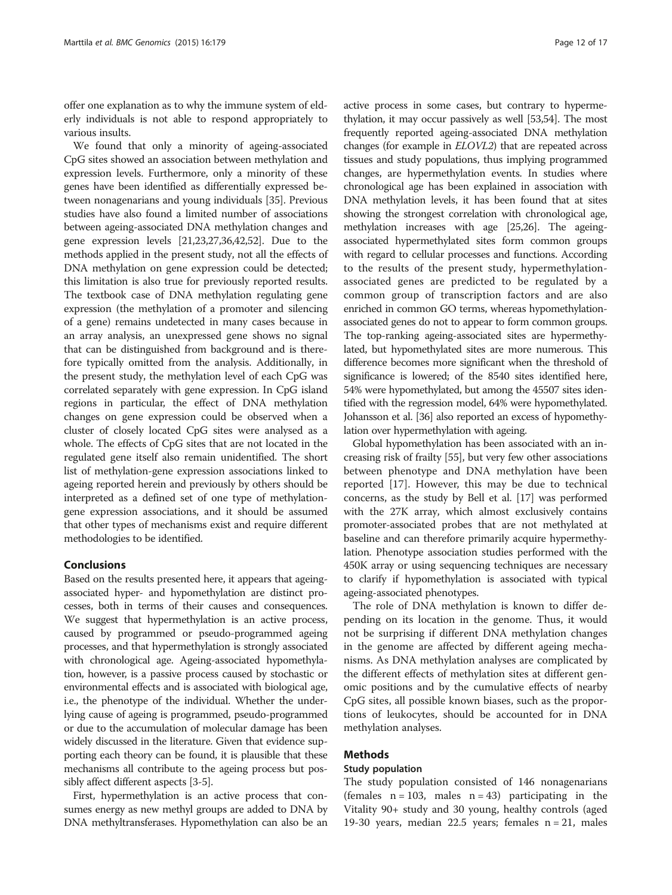offer one explanation as to why the immune system of elderly individuals is not able to respond appropriately to various insults.

We found that only a minority of ageing-associated CpG sites showed an association between methylation and expression levels. Furthermore, only a minority of these genes have been identified as differentially expressed between nonagenarians and young individuals [[35](#page-16-0)]. Previous studies have also found a limited number of associations between ageing-associated DNA methylation changes and gene expression levels [\[21,23,27,36,42,52](#page-16-0)]. Due to the methods applied in the present study, not all the effects of DNA methylation on gene expression could be detected; this limitation is also true for previously reported results. The textbook case of DNA methylation regulating gene expression (the methylation of a promoter and silencing of a gene) remains undetected in many cases because in an array analysis, an unexpressed gene shows no signal that can be distinguished from background and is therefore typically omitted from the analysis. Additionally, in the present study, the methylation level of each CpG was correlated separately with gene expression. In CpG island regions in particular, the effect of DNA methylation changes on gene expression could be observed when a cluster of closely located CpG sites were analysed as a whole. The effects of CpG sites that are not located in the regulated gene itself also remain unidentified. The short list of methylation-gene expression associations linked to ageing reported herein and previously by others should be interpreted as a defined set of one type of methylationgene expression associations, and it should be assumed that other types of mechanisms exist and require different methodologies to be identified.

## Conclusions

Based on the results presented here, it appears that ageingassociated hyper- and hypomethylation are distinct processes, both in terms of their causes and consequences. We suggest that hypermethylation is an active process, caused by programmed or pseudo-programmed ageing processes, and that hypermethylation is strongly associated with chronological age. Ageing-associated hypomethylation, however, is a passive process caused by stochastic or environmental effects and is associated with biological age, i.e., the phenotype of the individual. Whether the underlying cause of ageing is programmed, pseudo-programmed or due to the accumulation of molecular damage has been widely discussed in the literature. Given that evidence supporting each theory can be found, it is plausible that these mechanisms all contribute to the ageing process but possibly affect different aspects [[3-5\]](#page-16-0).

First, hypermethylation is an active process that consumes energy as new methyl groups are added to DNA by DNA methyltransferases. Hypomethylation can also be an

active process in some cases, but contrary to hypermethylation, it may occur passively as well [\[53,54](#page-16-0)]. The most frequently reported ageing-associated DNA methylation changes (for example in ELOVL2) that are repeated across tissues and study populations, thus implying programmed changes, are hypermethylation events. In studies where chronological age has been explained in association with DNA methylation levels, it has been found that at sites showing the strongest correlation with chronological age, methylation increases with age [\[25,26](#page-16-0)]. The ageingassociated hypermethylated sites form common groups with regard to cellular processes and functions. According to the results of the present study, hypermethylationassociated genes are predicted to be regulated by a common group of transcription factors and are also enriched in common GO terms, whereas hypomethylationassociated genes do not to appear to form common groups. The top-ranking ageing-associated sites are hypermethylated, but hypomethylated sites are more numerous. This difference becomes more significant when the threshold of significance is lowered; of the 8540 sites identified here, 54% were hypomethylated, but among the 45507 sites identified with the regression model, 64% were hypomethylated. Johansson et al. [[36](#page-16-0)] also reported an excess of hypomethylation over hypermethylation with ageing.

Global hypomethylation has been associated with an increasing risk of frailty [\[55\]](#page-17-0), but very few other associations between phenotype and DNA methylation have been reported [\[17](#page-16-0)]. However, this may be due to technical concerns, as the study by Bell et al. [[17\]](#page-16-0) was performed with the 27K array, which almost exclusively contains promoter-associated probes that are not methylated at baseline and can therefore primarily acquire hypermethylation. Phenotype association studies performed with the 450K array or using sequencing techniques are necessary to clarify if hypomethylation is associated with typical ageing-associated phenotypes.

The role of DNA methylation is known to differ depending on its location in the genome. Thus, it would not be surprising if different DNA methylation changes in the genome are affected by different ageing mechanisms. As DNA methylation analyses are complicated by the different effects of methylation sites at different genomic positions and by the cumulative effects of nearby CpG sites, all possible known biases, such as the proportions of leukocytes, should be accounted for in DNA methylation analyses.

## Methods

## Study population

The study population consisted of 146 nonagenarians (females  $n = 103$ , males  $n = 43$ ) participating in the Vitality 90+ study and 30 young, healthy controls (aged 19-30 years, median 22.5 years; females  $n = 21$ , males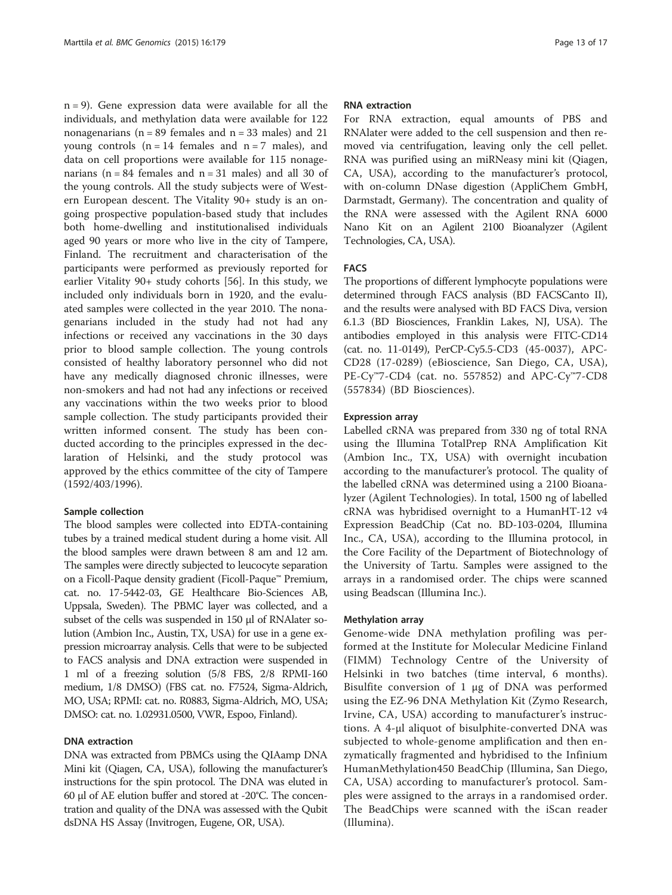$n = 9$ ). Gene expression data were available for all the individuals, and methylation data were available for 122 nonagenarians ( $n = 89$  females and  $n = 33$  males) and 21 young controls  $(n = 14$  females and  $n = 7$  males), and data on cell proportions were available for 115 nonagenarians ( $n = 84$  females and  $n = 31$  males) and all 30 of the young controls. All the study subjects were of Western European descent. The Vitality 90+ study is an ongoing prospective population-based study that includes both home-dwelling and institutionalised individuals aged 90 years or more who live in the city of Tampere, Finland. The recruitment and characterisation of the participants were performed as previously reported for earlier Vitality 90+ study cohorts [[56\]](#page-17-0). In this study, we included only individuals born in 1920, and the evaluated samples were collected in the year 2010. The nonagenarians included in the study had not had any infections or received any vaccinations in the 30 days prior to blood sample collection. The young controls consisted of healthy laboratory personnel who did not have any medically diagnosed chronic illnesses, were non-smokers and had not had any infections or received any vaccinations within the two weeks prior to blood sample collection. The study participants provided their written informed consent. The study has been conducted according to the principles expressed in the declaration of Helsinki, and the study protocol was approved by the ethics committee of the city of Tampere (1592/403/1996).

#### Sample collection

The blood samples were collected into EDTA-containing tubes by a trained medical student during a home visit. All the blood samples were drawn between 8 am and 12 am. The samples were directly subjected to leucocyte separation on a Ficoll-Paque density gradient (Ficoll-Paque™ Premium, cat. no. 17-5442-03, GE Healthcare Bio-Sciences AB, Uppsala, Sweden). The PBMC layer was collected, and a subset of the cells was suspended in 150 μl of RNAlater solution (Ambion Inc., Austin, TX, USA) for use in a gene expression microarray analysis. Cells that were to be subjected to FACS analysis and DNA extraction were suspended in 1 ml of a freezing solution (5/8 FBS, 2/8 RPMI-160 medium, 1/8 DMSO) (FBS cat. no. F7524, Sigma-Aldrich, MO, USA; RPMI: cat. no. R0883, Sigma-Aldrich, MO, USA; DMSO: cat. no. 1.02931.0500, VWR, Espoo, Finland).

#### DNA extraction

DNA was extracted from PBMCs using the QIAamp DNA Mini kit (Qiagen, CA, USA), following the manufacturer's instructions for the spin protocol. The DNA was eluted in 60 μl of AE elution buffer and stored at -20°C. The concentration and quality of the DNA was assessed with the Qubit dsDNA HS Assay (Invitrogen, Eugene, OR, USA).

#### RNA extraction

For RNA extraction, equal amounts of PBS and RNAlater were added to the cell suspension and then removed via centrifugation, leaving only the cell pellet. RNA was purified using an miRNeasy mini kit (Qiagen, CA, USA), according to the manufacturer's protocol, with on-column DNase digestion (AppliChem GmbH, Darmstadt, Germany). The concentration and quality of the RNA were assessed with the Agilent RNA 6000 Nano Kit on an Agilent 2100 Bioanalyzer (Agilent Technologies, CA, USA).

#### FACS

The proportions of different lymphocyte populations were determined through FACS analysis (BD FACSCanto II), and the results were analysed with BD FACS Diva, version 6.1.3 (BD Biosciences, Franklin Lakes, NJ, USA). The antibodies employed in this analysis were FITC-CD14 (cat. no. 11-0149), PerCP-Cy5.5-CD3 (45-0037), APC-CD28 (17-0289) (eBioscience, San Diego, CA, USA), PE-Cy™7-CD4 (cat. no. 557852) and APC-Cy™7-CD8 (557834) (BD Biosciences).

#### Expression array

Labelled cRNA was prepared from 330 ng of total RNA using the Illumina TotalPrep RNA Amplification Kit (Ambion Inc., TX, USA) with overnight incubation according to the manufacturer's protocol. The quality of the labelled cRNA was determined using a 2100 Bioanalyzer (Agilent Technologies). In total, 1500 ng of labelled cRNA was hybridised overnight to a HumanHT-12 v4 Expression BeadChip (Cat no. BD-103-0204, Illumina Inc., CA, USA), according to the Illumina protocol, in the Core Facility of the Department of Biotechnology of the University of Tartu. Samples were assigned to the arrays in a randomised order. The chips were scanned using Beadscan (Illumina Inc.).

#### Methylation array

Genome-wide DNA methylation profiling was performed at the Institute for Molecular Medicine Finland (FIMM) Technology Centre of the University of Helsinki in two batches (time interval, 6 months). Bisulfite conversion of 1 μg of DNA was performed using the EZ-96 DNA Methylation Kit (Zymo Research, Irvine, CA, USA) according to manufacturer's instructions. A 4-μl aliquot of bisulphite-converted DNA was subjected to whole-genome amplification and then enzymatically fragmented and hybridised to the Infinium HumanMethylation450 BeadChip (Illumina, San Diego, CA, USA) according to manufacturer's protocol. Samples were assigned to the arrays in a randomised order. The BeadChips were scanned with the iScan reader (Illumina).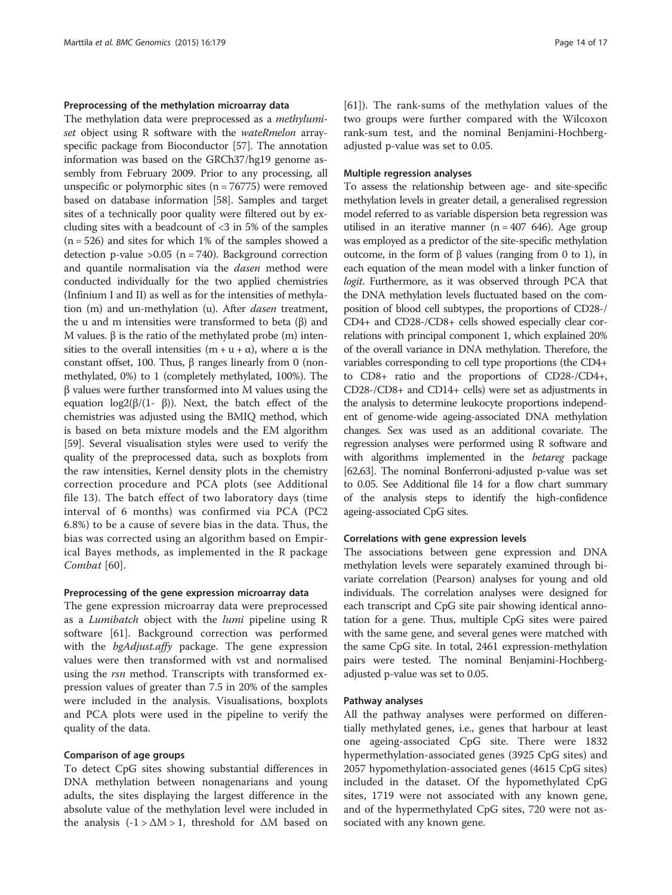#### Preprocessing of the methylation microarray data

The methylation data were preprocessed as a methylumiset object using R software with the wateRmelon arrayspecific package from Bioconductor [\[57\]](#page-17-0). The annotation information was based on the GRCh37/hg19 genome assembly from February 2009. Prior to any processing, all unspecific or polymorphic sites  $(n = 76775)$  were removed based on database information [\[58\]](#page-17-0). Samples and target sites of a technically poor quality were filtered out by excluding sites with a beadcount of <3 in 5% of the samples  $(n = 526)$  and sites for which 1% of the samples showed a detection p-value  $>0.05$  (n = 740). Background correction and quantile normalisation via the dasen method were conducted individually for the two applied chemistries (Infinium I and II) as well as for the intensities of methylation (m) and un-methylation (u). After dasen treatment, the u and m intensities were transformed to beta (β) and M values.  $β$  is the ratio of the methylated probe (m) intensities to the overall intensities  $(m + u + \alpha)$ , where  $\alpha$  is the constant offset, 100. Thus, β ranges linearly from 0 (nonmethylated, 0%) to 1 (completely methylated, 100%). The β values were further transformed into M values using the equation  $log2(\beta/(1-\beta))$ . Next, the batch effect of the chemistries was adjusted using the BMIQ method, which is based on beta mixture models and the EM algorithm [[59](#page-17-0)]. Several visualisation styles were used to verify the quality of the preprocessed data, such as boxplots from the raw intensities, Kernel density plots in the chemistry correction procedure and PCA plots (see Additional file [13\)](#page-15-0). The batch effect of two laboratory days (time interval of 6 months) was confirmed via PCA (PC2 6.8%) to be a cause of severe bias in the data. Thus, the bias was corrected using an algorithm based on Empirical Bayes methods, as implemented in the R package Combat [[60](#page-17-0)].

#### Preprocessing of the gene expression microarray data

The gene expression microarray data were preprocessed as a *Lumibatch* object with the lumi pipeline using R software [[61](#page-17-0)]. Background correction was performed with the bgAdjust.affy package. The gene expression values were then transformed with vst and normalised using the rsn method. Transcripts with transformed expression values of greater than 7.5 in 20% of the samples were included in the analysis. Visualisations, boxplots and PCA plots were used in the pipeline to verify the quality of the data.

#### Comparison of age groups

To detect CpG sites showing substantial differences in DNA methylation between nonagenarians and young adults, the sites displaying the largest difference in the absolute value of the methylation level were included in the analysis  $(-1 > \Delta M > 1$ , threshold for  $\Delta M$  based on [[61\]](#page-17-0)). The rank-sums of the methylation values of the two groups were further compared with the Wilcoxon rank-sum test, and the nominal Benjamini-Hochbergadjusted p-value was set to 0.05.

#### Multiple regression analyses

To assess the relationship between age- and site-specific methylation levels in greater detail, a generalised regression model referred to as variable dispersion beta regression was utilised in an iterative manner ( $n = 407646$ ). Age group was employed as a predictor of the site-specific methylation outcome, in the form of β values (ranging from 0 to 1), in each equation of the mean model with a linker function of logit. Furthermore, as it was observed through PCA that the DNA methylation levels fluctuated based on the composition of blood cell subtypes, the proportions of CD28-/ CD4+ and CD28-/CD8+ cells showed especially clear correlations with principal component 1, which explained 20% of the overall variance in DNA methylation. Therefore, the variables corresponding to cell type proportions (the CD4+ to CD8+ ratio and the proportions of CD28-/CD4+, CD28-/CD8+ and CD14+ cells) were set as adjustments in the analysis to determine leukocyte proportions independent of genome-wide ageing-associated DNA methylation changes. Sex was used as an additional covariate. The regression analyses were performed using R software and with algorithms implemented in the betareg package [[62,63\]](#page-17-0). The nominal Bonferroni-adjusted p-value was set to 0.05. See Additional file [14](#page-15-0) for a flow chart summary of the analysis steps to identify the high-confidence ageing-associated CpG sites.

#### Correlations with gene expression levels

The associations between gene expression and DNA methylation levels were separately examined through bivariate correlation (Pearson) analyses for young and old individuals. The correlation analyses were designed for each transcript and CpG site pair showing identical annotation for a gene. Thus, multiple CpG sites were paired with the same gene, and several genes were matched with the same CpG site. In total, 2461 expression-methylation pairs were tested. The nominal Benjamini-Hochbergadjusted p-value was set to 0.05.

#### Pathway analyses

All the pathway analyses were performed on differentially methylated genes, i.e., genes that harbour at least one ageing-associated CpG site. There were 1832 hypermethylation-associated genes (3925 CpG sites) and 2057 hypomethylation-associated genes (4615 CpG sites) included in the dataset. Of the hypomethylated CpG sites, 1719 were not associated with any known gene, and of the hypermethylated CpG sites, 720 were not associated with any known gene.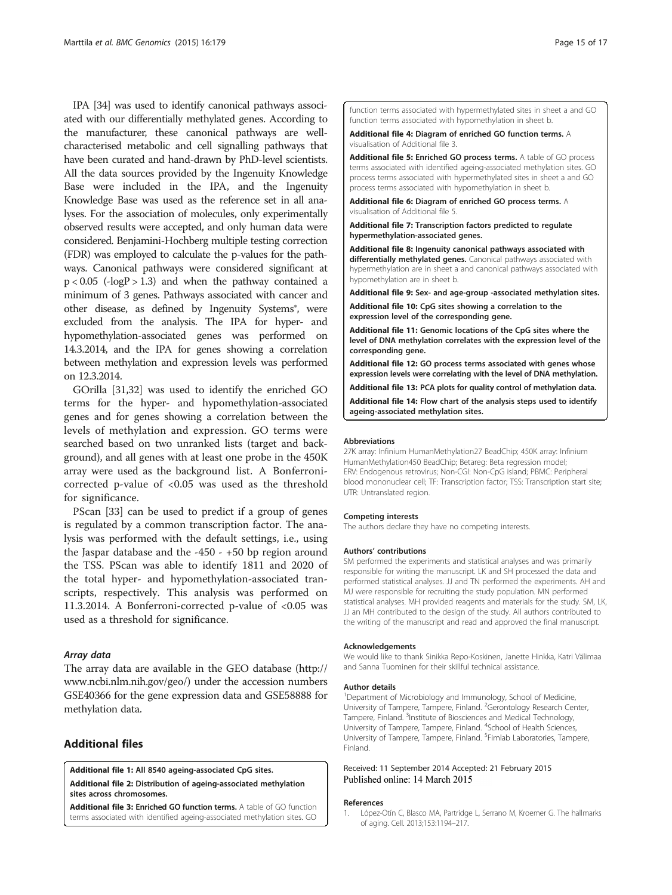<span id="page-15-0"></span>IPA [[34](#page-16-0)] was used to identify canonical pathways associated with our differentially methylated genes. According to the manufacturer, these canonical pathways are wellcharacterised metabolic and cell signalling pathways that have been curated and hand-drawn by PhD-level scientists. All the data sources provided by the Ingenuity Knowledge Base were included in the IPA, and the Ingenuity Knowledge Base was used as the reference set in all analyses. For the association of molecules, only experimentally observed results were accepted, and only human data were considered. Benjamini-Hochberg multiple testing correction (FDR) was employed to calculate the p-values for the pathways. Canonical pathways were considered significant at  $p < 0.05$  (-logP > 1.3) and when the pathway contained a minimum of 3 genes. Pathways associated with cancer and other disease, as defined by Ingenuity Systems®, were excluded from the analysis. The IPA for hyper- and hypomethylation-associated genes was performed on 14.3.2014, and the IPA for genes showing a correlation between methylation and expression levels was performed on 12.3.2014.

GOrilla [\[31,32](#page-16-0)] was used to identify the enriched GO terms for the hyper- and hypomethylation-associated genes and for genes showing a correlation between the levels of methylation and expression. GO terms were searched based on two unranked lists (target and background), and all genes with at least one probe in the 450K array were used as the background list. A Bonferronicorrected p-value of <0.05 was used as the threshold for significance.

PScan [\[33](#page-16-0)] can be used to predict if a group of genes is regulated by a common transcription factor. The analysis was performed with the default settings, i.e., using the Jaspar database and the -450 - +50 bp region around the TSS. PScan was able to identify 1811 and 2020 of the total hyper- and hypomethylation-associated transcripts, respectively. This analysis was performed on 11.3.2014. A Bonferroni-corrected p-value of <0.05 was used as a threshold for significance.

#### Array data

The array data are available in the GEO database [\(http://](http://www.ncbi.nlm.nih.gov/geo/) [www.ncbi.nlm.nih.gov/geo/\)](http://www.ncbi.nlm.nih.gov/geo/) under the accession numbers GSE40366 for the gene expression data and GSE58888 for methylation data.

## Additional files

[Additional file 1:](http://www.biomedcentral.com/content/supplementary/s12864-015-1381-z-s1.xlsx) All 8540 ageing-associated CpG sites. [Additional file 2:](http://www.biomedcentral.com/content/supplementary/s12864-015-1381-z-s2.pdf) Distribution of ageing-associated methylation sites across chromosomes.

[Additional file 3:](http://www.biomedcentral.com/content/supplementary/s12864-015-1381-z-s3.xlsx) Enriched GO function terms. A table of GO function terms associated with identified ageing-associated methylation sites. GO

function terms associated with hypermethylated sites in sheet a and GO function terms associated with hypomethylation in sheet b.

[Additional file 4:](http://www.biomedcentral.com/content/supplementary/s12864-015-1381-z-s4.pdf) Diagram of enriched GO function terms. A visualisation of Additional file 3.

[Additional file 5:](http://www.biomedcentral.com/content/supplementary/s12864-015-1381-z-s5.xlsx) Enriched GO process terms. A table of GO process terms associated with identified ageing-associated methylation sites. GO process terms associated with hypermethylated sites in sheet a and GO process terms associated with hypomethylation in sheet b.

[Additional file 6:](http://www.biomedcentral.com/content/supplementary/s12864-015-1381-z-s6.pdf) Diagram of enriched GO process terms. A visualisation of Additional file 5.

[Additional file 7:](http://www.biomedcentral.com/content/supplementary/s12864-015-1381-z-s7.xlsx) Transcription factors predicted to regulate hypermethylation-associated genes.

[Additional file 8:](http://www.biomedcentral.com/content/supplementary/s12864-015-1381-z-s8.xlsx) Ingenuity canonical pathways associated with differentially methylated genes. Canonical pathways associated with hypermethylation are in sheet a and canonical pathways associated with hypomethylation are in sheet b.

[Additional file 9:](http://www.biomedcentral.com/content/supplementary/s12864-015-1381-z-s9.xlsx) Sex- and age-group -associated methylation sites.

[Additional file 10:](http://www.biomedcentral.com/content/supplementary/s12864-015-1381-z-s10.xlsx) CpG sites showing a correlation to the expression level of the corresponding gene.

[Additional file 11:](http://www.biomedcentral.com/content/supplementary/s12864-015-1381-z-s11.pdf) Genomic locations of the CpG sites where the level of DNA methylation correlates with the expression level of the corresponding gene.

[Additional file 12:](http://www.biomedcentral.com/content/supplementary/s12864-015-1381-z-s12.xlsx) GO process terms associated with genes whose expression levels were correlating with the level of DNA methylation.

[Additional file 13:](http://www.biomedcentral.com/content/supplementary/s12864-015-1381-z-s13.pdf) PCA plots for quality control of methylation data.

[Additional file 14:](http://www.biomedcentral.com/content/supplementary/s12864-015-1381-z-s14.pdf) Flow chart of the analysis steps used to identify ageing-associated methylation sites.

#### Abbreviations

27K array: Infinium HumanMethylation27 BeadChip; 450K array: Infinium HumanMethylation450 BeadChip; Betareg: Beta regression model; ERV: Endogenous retrovirus; Non-CGI: Non-CpG island; PBMC: Peripheral blood mononuclear cell; TF: Transcription factor; TSS: Transcription start site; UTR: Untranslated region.

#### Competing interests

The authors declare they have no competing interests.

#### Authors' contributions

SM performed the experiments and statistical analyses and was primarily responsible for writing the manuscript. LK and SH processed the data and performed statistical analyses. JJ and TN performed the experiments. AH and MJ were responsible for recruiting the study population. MN performed statistical analyses. MH provided reagents and materials for the study. SM, LK, JJ an MH contributed to the design of the study. All authors contributed to the writing of the manuscript and read and approved the final manuscript.

#### Acknowledgements

We would like to thank Sinikka Repo-Koskinen, Janette Hinkka, Katri Välimaa and Sanna Tuominen for their skillful technical assistance.

#### Author details

<sup>1</sup>Department of Microbiology and Immunology, School of Medicine University of Tampere, Tampere, Finland. <sup>2</sup>Gerontology Research Center, Tampere, Finland. <sup>3</sup>Institute of Biosciences and Medical Technology University of Tampere, Tampere, Finland. <sup>4</sup>School of Health Sciences, University of Tampere, Tampere, Finland. <sup>5</sup>Fimlab Laboratories, Tampere Finland.

Received: 11 September 2014 Accepted: 21 February 2015<br>Published online: 14 March 2015

#### References

1. López-Otín C, Blasco MA, Partridge L, Serrano M, Kroemer G. The hallmarks of aging. Cell. 2013;153:1194–217.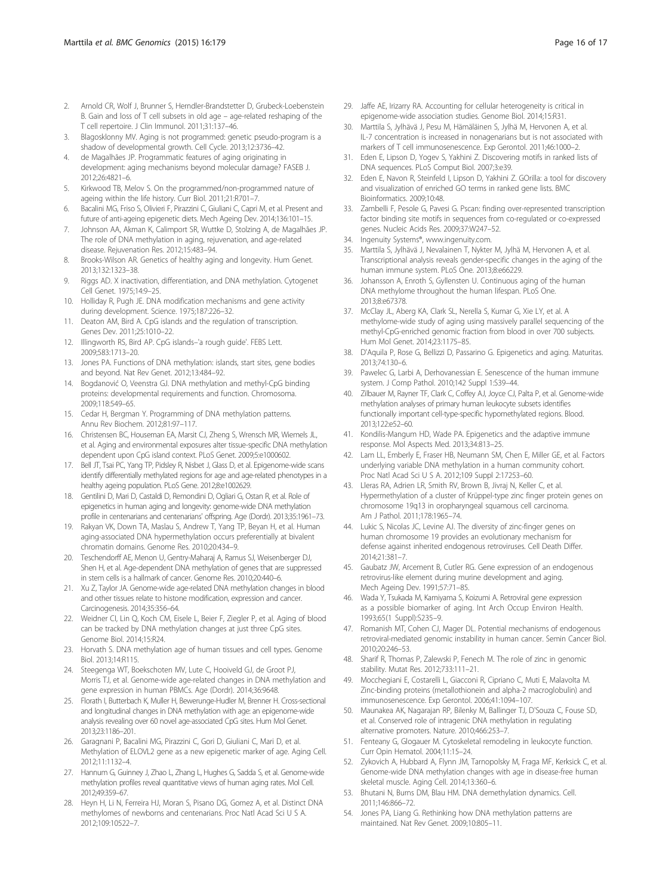- <span id="page-16-0"></span>2. Arnold CR, Wolf J, Brunner S, Herndler-Brandstetter D, Grubeck-Loebenstein B. Gain and loss of T cell subsets in old age – age-related reshaping of the T cell repertoire. J Clin Immunol. 2011;31:137–46.
- 3. Blagosklonny MV. Aging is not programmed: genetic pseudo-program is a shadow of developmental growth. Cell Cycle. 2013;12:3736–42.
- 4. de Magalhães JP. Programmatic features of aging originating in development: aging mechanisms beyond molecular damage? FASEB J. 2012;26:4821–6.
- 5. Kirkwood TB, Melov S. On the programmed/non-programmed nature of ageing within the life history. Curr Biol. 2011;21:R701–7.
- 6. Bacalini MG, Friso S, Olivieri F, Pirazzini C, Giuliani C, Capri M, et al. Present and future of anti-ageing epigenetic diets. Mech Ageing Dev. 2014;136:101–15.
- 7. Johnson AA, Akman K, Calimport SR, Wuttke D, Stolzing A, de Magalhães JP. The role of DNA methylation in aging, rejuvenation, and age-related disease. Rejuvenation Res. 2012;15:483–94.
- 8. Brooks-Wilson AR. Genetics of healthy aging and longevity. Hum Genet. 2013;132:1323–38.
- Riggs AD. X inactivation, differentiation, and DNA methylation. Cytogenet Cell Genet. 1975;14:9–25.
- 10. Holliday R, Pugh JE. DNA modification mechanisms and gene activity during development. Science. 1975;187:226–32.
- 11. Deaton AM, Bird A. CpG islands and the regulation of transcription. Genes Dev. 2011;25:1010–22.
- 12. Illingworth RS, Bird AP. CpG islands–'a rough guide'. FEBS Lett. 2009;583:1713–20.
- 13. Jones PA. Functions of DNA methylation: islands, start sites, gene bodies and beyond. Nat Rev Genet. 2012;13:484–92.
- 14. Bogdanović O, Veenstra GJ. DNA methylation and methyl-CpG binding proteins: developmental requirements and function. Chromosoma. 2009;118:549–65.
- 15. Cedar H, Bergman Y. Programming of DNA methylation patterns. Annu Rev Biochem. 2012;81:97–117.
- 16. Christensen BC, Houseman EA, Marsit CJ, Zheng S, Wrensch MR, Wiemels JL, et al. Aging and environmental exposures alter tissue-specific DNA methylation dependent upon CpG island context. PLoS Genet. 2009;5:e1000602.
- 17. Bell JT, Tsai PC, Yang TP, Pidsley R, Nisbet J, Glass D, et al. Epigenome-wide scans identify differentially methylated regions for age and age-related phenotypes in a healthy ageing population. PLoS Gene. 2012;8:e1002629.
- 18. Gentilini D, Mari D, Castaldi D, Remondini D, Ogliari G, Ostan R, et al. Role of epigenetics in human aging and longevity: genome-wide DNA methylation profile in centenarians and centenarians' offspring. Age (Dordr). 2013;35:1961–73.
- 19. Rakyan VK, Down TA, Maslau S, Andrew T, Yang TP, Beyan H, et al. Human aging-associated DNA hypermethylation occurs preferentially at bivalent chromatin domains. Genome Res. 2010;20:434–9.
- 20. Teschendorff AE, Menon U, Gentry-Maharaj A, Ramus SJ, Weisenberger DJ, Shen H, et al. Age-dependent DNA methylation of genes that are suppressed in stem cells is a hallmark of cancer. Genome Res. 2010;20:440–6.
- 21. Xu Z, Taylor JA. Genome-wide age-related DNA methylation changes in blood and other tissues relate to histone modification, expression and cancer. Carcinogenesis. 2014;35:356–64.
- 22. Weidner CI, Lin Q, Koch CM, Eisele L, Beier F, Ziegler P, et al. Aging of blood can be tracked by DNA methylation changes at just three CpG sites. Genome Biol. 2014;15:R24.
- 23. Horvath S. DNA methylation age of human tissues and cell types. Genome Biol. 2013;14:R115.
- 24. Steegenga WT, Boekschoten MV, Lute C, Hooiveld GJ, de Groot PJ, Morris TJ, et al. Genome-wide age-related changes in DNA methylation and gene expression in human PBMCs. Age (Dordr). 2014;36:9648.
- 25. Florath I, Butterbach K, Muller H, Bewerunge-Hudler M, Brenner H. Cross-sectional and longitudinal changes in DNA methylation with age: an epigenome-wide analysis revealing over 60 novel age-associated CpG sites. Hum Mol Genet. 2013;23:1186–201.
- 26. Garagnani P, Bacalini MG, Pirazzini C, Gori D, Giuliani C, Mari D, et al. Methylation of ELOVL2 gene as a new epigenetic marker of age. Aging Cell. 2012;11:1132–4.
- 27. Hannum G, Guinney J, Zhao L, Zhang L, Hughes G, Sadda S, et al. Genome-wide methylation profiles reveal quantitative views of human aging rates. Mol Cell. 2012;49:359–67.
- 28. Heyn H, Li N, Ferreira HJ, Moran S, Pisano DG, Gomez A, et al. Distinct DNA methylomes of newborns and centenarians. Proc Natl Acad Sci U S A. 2012;109:10522–7.
- 29. Jaffe AE, Irizarry RA. Accounting for cellular heterogeneity is critical in epigenome-wide association studies. Genome Biol. 2014;15:R31.
- 30. Marttila S, Jylhävä J, Pesu M, Hämäläinen S, Jylhä M, Hervonen A, et al. IL-7 concentration is increased in nonagenarians but is not associated with markers of T cell immunosenescence. Exp Gerontol. 2011;46:1000–2.
- 31. Eden E, Lipson D, Yogev S, Yakhini Z. Discovering motifs in ranked lists of DNA sequences. PLoS Comput Biol. 2007;3:e39.
- 32. Eden E, Navon R, Steinfeld I, Lipson D, Yakhini Z. GOrilla: a tool for discovery and visualization of enriched GO terms in ranked gene lists. BMC Bioinformatics. 2009;10:48.
- 33. Zambelli F, Pesole G, Pavesi G. Pscan: finding over-represented transcription factor binding site motifs in sequences from co-regulated or co-expressed genes. Nucleic Acids Res. 2009;37:W247–52.
- 34. Ingenuity Systems®, [www.ingenuity.com.](http://www.ingenuity.com/)
- 35. Marttila S, Jylhävä J, Nevalainen T, Nykter M, Jylhä M, Hervonen A, et al. Transcriptional analysis reveals gender-specific changes in the aging of the human immune system. PLoS One. 2013;8:e66229.
- 36. Johansson A, Enroth S, Gyllensten U. Continuous aging of the human DNA methylome throughout the human lifespan. PLoS One. 2013;8:e67378.
- 37. McClay JL, Aberg KA, Clark SL, Nerella S, Kumar G, Xie LY, et al. A methylome-wide study of aging using massively parallel sequencing of the methyl-CpG-enriched genomic fraction from blood in over 700 subjects. Hum Mol Genet. 2014;23:1175–85.
- 38. D'Aquila P, Rose G, Bellizzi D, Passarino G. Epigenetics and aging. Maturitas. 2013;74:130–6.
- 39. Pawelec G, Larbi A, Derhovanessian E. Senescence of the human immune system. J Comp Pathol. 2010;142 Suppl 1:S39–44.
- 40. Zilbauer M, Rayner TF, Clark C, Coffey AJ, Joyce CJ, Palta P, et al. Genome-wide methylation analyses of primary human leukocyte subsets identifies functionally important cell-type-specific hypomethylated regions. Blood. 2013;122:e52–60.
- 41. Kondilis-Mangum HD, Wade PA. Epigenetics and the adaptive immune response. Mol Aspects Med. 2013;34:813–25.
- 42. Lam LL, Emberly E, Fraser HB, Neumann SM, Chen E, Miller GE, et al. Factors underlying variable DNA methylation in a human community cohort. Proc Natl Acad Sci U S A. 2012;109 Suppl 2:17253–60.
- 43. Lleras RA, Adrien LR, Smith RV, Brown B, Jivraj N, Keller C, et al. Hypermethylation of a cluster of Krüppel-type zinc finger protein genes on chromosome 19q13 in oropharyngeal squamous cell carcinoma. Am J Pathol. 2011;178:1965–74.
- 44. Lukic S, Nicolas JC, Levine AJ. The diversity of zinc-finger genes on human chromosome 19 provides an evolutionary mechanism for defense against inherited endogenous retroviruses. Cell Death Differ. 2014;21:381–7.
- 45. Gaubatz JW, Arcement B, Cutler RG. Gene expression of an endogenous retrovirus-like element during murine development and aging. Mech Ageing Dev. 1991;57:71–85.
- 46. Wada Y, Tsukada M, Kamiyama S, Koizumi A. Retroviral gene expression as a possible biomarker of aging. Int Arch Occup Environ Health. 1993;65(1 Suppl):S235–9.
- 47. Romanish MT, Cohen CJ, Mager DL. Potential mechanisms of endogenous retroviral-mediated genomic instability in human cancer. Semin Cancer Biol. 2010;20:246–53.
- 48. Sharif R, Thomas P, Zalewski P, Fenech M. The role of zinc in genomic stability. Mutat Res. 2012;733:111–21.
- 49. Mocchegiani E, Costarelli L, Giacconi R, Cipriano C, Muti E, Malavolta M. Zinc-binding proteins (metallothionein and alpha-2 macroglobulin) and immunosenescence. Exp Gerontol. 2006;41:1094–107.
- 50. Maunakea AK, Nagarajan RP, Bilenky M, Ballinger TJ, D'Souza C, Fouse SD, et al. Conserved role of intragenic DNA methylation in regulating alternative promoters. Nature. 2010;466:253–7.
- 51. Fenteany G, Glogauer M. Cytoskeletal remodeling in leukocyte function. Curr Opin Hematol. 2004;11:15–24.
- 52. Zykovich A, Hubbard A, Flynn JM, Tarnopolsky M, Fraga MF, Kerksick C, et al. Genome-wide DNA methylation changes with age in disease-free human skeletal muscle. Aging Cell. 2014;13:360–6.
- 53. Bhutani N, Burns DM, Blau HM. DNA demethylation dynamics. Cell. 2011;146:866–72.
- 54. Jones PA, Liang G. Rethinking how DNA methylation patterns are maintained. Nat Rev Genet. 2009;10:805–11.